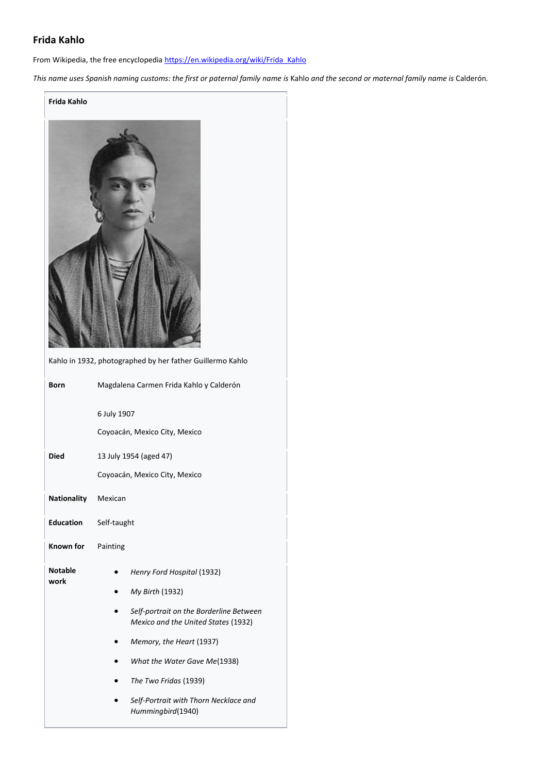# **Frida Kahlo**

From Wikipedia, the free encyclopedia [https://en.wikipedia.org/wiki/Frida\\_Kahlo](https://en.wikipedia.org/wiki/Frida_Kahlo)

*This name uses Spanish naming customs: the first or paternal family name is* Kahlo *and the second or maternal family name is* Calderón*.*

# **Frida Kahlo**



Kahlo in 1932, photographed by her father Guillermo Kahlo **Born** Magdalena Carmen Frida Kahlo y Calderón 6 July 1907 Coyoacán, Mexico City, Mexico **Died** 13 July 1954 (aged 47) Coyoacán, Mexico City, Mexico **Nationality** Mexican **Education** Self-taught **Known for** Painting **Notable work** • *Henry Ford Hospital* (1932) • *My Birth* (1932) • *Self-portrait on the Borderline Between Mexico and the United States* (1932) • *Memory, the Heart* (1937) • *What the Water Gave Me*(1938) • *The Two Fridas* (1939) • *Self-Portrait with Thorn Necklace and Hummingbird*(1940)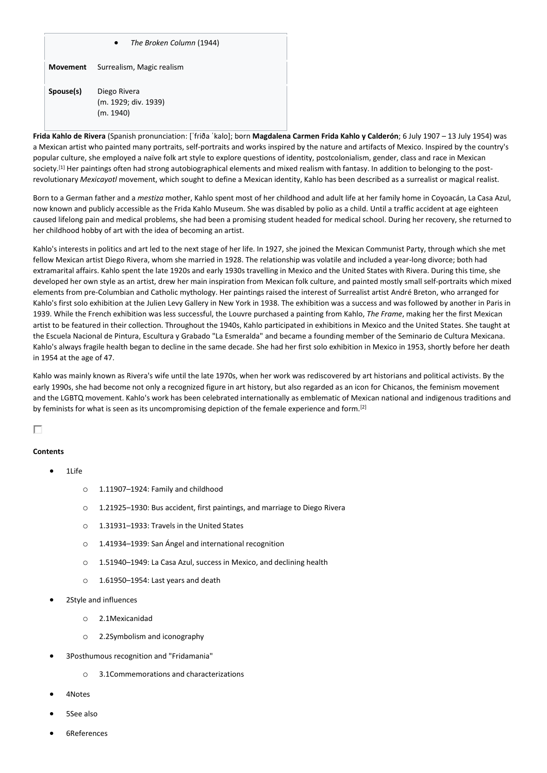## • *The Broken Column* (1944)

| Movement | Surrealism, Magic realism |
|----------|---------------------------|
|----------|---------------------------|

**Spouse(s)** Diego Rivera (m. 1929; div. 1939) (m. 1940)

**Frida Kahlo de Rivera** (Spanish pronunciation: [ˈfɾiða ˈkalo]; born **Magdalena Carmen Frida Kahlo y Calderón**; 6 July 1907 – 13 July 1954) was a Mexican artist who painted many portraits, self-portraits and works inspired by the nature and artifacts of Mexico. Inspired by the country's popular culture, she employed a naïve folk art style to explore questions of identity, postcolonialism, gender, class and race in Mexican society.<sup>[1]</sup> Her paintings often had strong autobiographical elements and mixed realism with fantasy. In addition to belonging to the postrevolutionary *Mexicayotl* movement, which sought to define a Mexican identity, Kahlo has been described as a surrealist or magical realist.

Born to a German father and a *mestiza* mother, Kahlo spent most of her childhood and adult life at her family home in Coyoacán, La Casa Azul, now known and publicly accessible as the Frida Kahlo Museum. She was disabled by polio as a child. Until a traffic accident at age eighteen caused lifelong pain and medical problems, she had been a promising student headed for medical school. During her recovery, she returned to her childhood hobby of art with the idea of becoming an artist.

Kahlo's interests in politics and art led to the next stage of her life. In 1927, she joined the Mexican Communist Party, through which she met fellow Mexican artist Diego Rivera, whom she married in 1928. The relationship was volatile and included a year-long divorce; both had extramarital affairs. Kahlo spent the late 1920s and early 1930s travelling in Mexico and the United States with Rivera. During this time, she developed her own style as an artist, drew her main inspiration from Mexican folk culture, and painted mostly small self-portraits which mixed elements from pre-Columbian and Catholic mythology. Her paintings raised the interest of Surrealist artist André Breton, who arranged for Kahlo's first solo exhibition at the Julien Levy Gallery in New York in 1938. The exhibition was a success and was followed by another in Paris in 1939. While the French exhibition was less successful, the Louvre purchased a painting from Kahlo, *The Frame*, making her the first Mexican artist to be featured in their collection. Throughout the 1940s, Kahlo participated in exhibitions in Mexico and the United States. She taught at the Escuela Nacional de Pintura, Escultura y Grabado "La Esmeralda" and became a founding member of the Seminario de Cultura Mexicana. Kahlo's always fragile health began to decline in the same decade. She had her first solo exhibition in Mexico in 1953, shortly before her death in 1954 at the age of 47.

Kahlo was mainly known as Rivera's wife until the late 1970s, when her work was rediscovered by art historians and political activists. By the early 1990s, she had become not only a recognized figure in art history, but also regarded as an icon for Chicanos, the feminism movement and the LGBTQ movement. Kahlo's work has been celebrated internationally as emblematic of Mexican national and indigenous traditions and by feminists for what is seen as its uncompromising depiction of the female experience and form.<sup>[2]</sup>

# п

#### **Contents**

- 11 $i$ fe
	- o 1.11907–1924: Family and childhood
	- o 1.21925–1930: Bus accident, first paintings, and marriage to Diego Rivera
	- o 1.31931–1933: Travels in the United States
	- o 1.41934–1939: San Ángel and international recognition
	- o 1.51940–1949: La Casa Azul, success in Mexico, and declining health
	- o 1.61950–1954: Last years and death
- 2Style and influences
	- o 2.1Mexicanidad
	- o 2.2Symbolism and iconography
- 3Posthumous recognition and "Fridamania"
	- o 3.1Commemorations and characterizations
- 4Notes
- 5See also
- 6References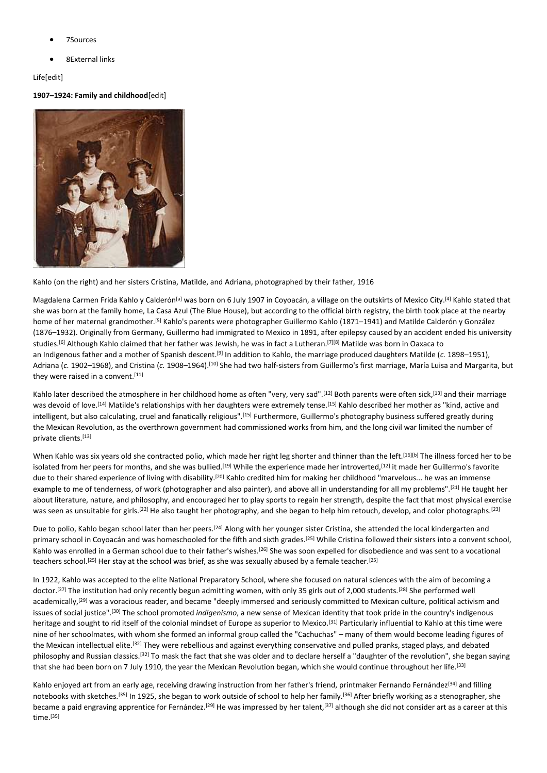- 7Sources
- 8External links

# Life[edit]

# **1907–1924: Family and childhood**[edit]



Kahlo (on the right) and her sisters Cristina, Matilde, and Adriana, photographed by their father, 1916

Magdalena Carmen Frida Kahlo y Calderón<sup>[a]</sup> was born on 6 July 1907 in Coyoacán, a village on the outskirts of Mexico City.<sup>[4]</sup> Kahlo stated that she was born at the family home, La Casa Azul (The Blue House), but according to the official birth registry, the birth took place at the nearby home of her maternal grandmother.[5] Kahlo's parents were photographer Guillermo Kahlo (1871–1941) and Matilde Calderón y González (1876–1932). Originally from Germany, Guillermo had immigrated to Mexico in 1891, after epilepsy caused by an accident ended his university studies.[6] Although Kahlo claimed that her father was Jewish, he was in fact a Lutheran. [7][8] Matilde was born in Oaxaca to an Indigenous father and a mother of Spanish descent.[9] In addition to Kahlo, the marriage produced daughters Matilde (*c.* 1898–1951), Adriana (*c.* 1902–1968), and Cristina (*c.* 1908–1964).[10] She had two half-sisters from Guillermo's first marriage, María Luisa and Margarita, but they were raised in a convent.<sup>[11]</sup>

Kahlo later described the atmosphere in her childhood home as often "very, very sad".[12] Both parents were often sick,[13] and their marriage was devoid of love.[14] Matilde's relationships with her daughters were extremely tense.[15] Kahlo described her mother as "kind, active and intelligent, but also calculating, cruel and fanatically religious".<sup>[15]</sup> Furthermore, Guillermo's photography business suffered greatly during the Mexican Revolution, as the overthrown government had commissioned works from him, and the long civil war limited the number of private clients.[13]

When Kahlo was six years old she contracted polio, which made her right leg shorter and thinner than the left.<sup>[16][b]</sup> The illness forced her to be isolated from her peers for months, and she was bullied.<sup>[19]</sup> While the experience made her introverted,<sup>[12]</sup> it made her Guillermo's favorite due to their shared experience of living with disability.<sup>[20]</sup> Kahlo credited him for making her childhood "marvelous... he was an immense example to me of tenderness, of work (photographer and also painter), and above all in understanding for all my problems".[21] He taught her about literature, nature, and philosophy, and encouraged her to play sports to regain her strength, despite the fact that most physical exercise was seen as unsuitable for girls.<sup>[22]</sup> He also taught her photography, and she began to help him retouch, develop, and color photographs.<sup>[23]</sup>

Due to polio, Kahlo began school later than her peers.<sup>[24]</sup> Along with her younger sister Cristina, she attended the local kindergarten and primary school in Coyoacán and was homeschooled for the fifth and sixth grades.<sup>[25]</sup> While Cristina followed their sisters into a convent school, Kahlo was enrolled in a German school due to their father's wishes.<sup>[26]</sup> She was soon expelled for disobedience and was sent to a vocational teachers school.[25] Her stay at the school was brief, as she was sexually abused by a female teacher.[25]

In 1922, Kahlo was accepted to the elite National Preparatory School, where she focused on natural sciences with the aim of becoming a doctor.[27] The institution had only recently begun admitting women, with only 35 girls out of 2,000 students.[28] She performed well academically,<sup>[29]</sup> was a voracious reader, and became "deeply immersed and seriously committed to Mexican culture, political activism and issues of social justice".[30] The school promoted *indigenismo*, a new sense of Mexican identity that took pride in the country's indigenous heritage and sought to rid itself of the colonial mindset of Europe as superior to Mexico.<sup>[31]</sup> Particularly influential to Kahlo at this time were nine of her schoolmates, with whom she formed an informal group called the "Cachuchas" – many of them would become leading figures of the Mexican intellectual elite.<sup>[32]</sup> They were rebellious and against everything conservative and pulled pranks, staged plays, and debated philosophy and Russian classics.<sup>[32]</sup> To mask the fact that she was older and to declare herself a "daughter of the revolution", she began saying that she had been born on 7 July 1910, the year the Mexican Revolution began, which she would continue throughout her life.<sup>[33]</sup>

Kahlo enjoyed art from an early age, receiving drawing instruction from her father's friend, printmaker Fernando Fernández<sup>[34]</sup> and filling notebooks with sketches.<sup>[35]</sup> In 1925, she began to work outside of school to help her family.<sup>[36]</sup> After briefly working as a stenographer, she became a paid engraving apprentice for Fernández.<sup>[29]</sup> He was impressed by her talent,<sup>[37]</sup> although she did not consider art as a career at this time.[35]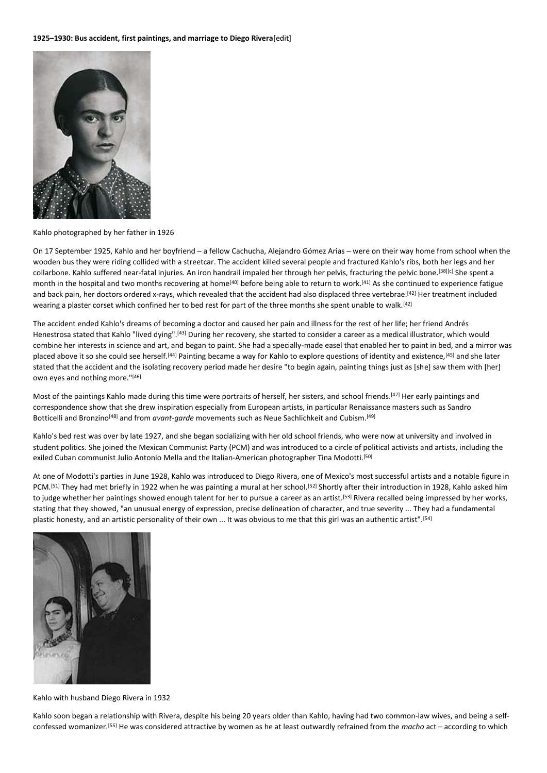

Kahlo photographed by her father in 1926

On 17 September 1925, Kahlo and her boyfriend – a fellow Cachucha, Alejandro Gómez Arias – were on their way home from school when the wooden bus they were riding collided with a streetcar. The accident killed several people and fractured Kahlo's ribs, both her legs and her collarbone. Kahlo suffered near-fatal injuries. An iron handrail impaled her through her pelvis, fracturing the pelvic bone.[38][c] She spent a month in the hospital and two months recovering at home<sup>[40]</sup> before being able to return to work.<sup>[41]</sup> As she continued to experience fatigue and back pain, her doctors ordered x-rays, which revealed that the accident had also displaced three vertebrae.<sup>[42]</sup> Her treatment included wearing a plaster corset which confined her to bed rest for part of the three months she spent unable to walk.<sup>[42]</sup>

The accident ended Kahlo's dreams of becoming a doctor and caused her pain and illness for the rest of her life; her friend Andrés Henestrosa stated that Kahlo "lived dying".[43] During her recovery, she started to consider a career as a medical illustrator, which would combine her interests in science and art, and began to paint. She had a specially-made easel that enabled her to paint in bed, and a mirror was placed above it so she could see herself.<sup>[44]</sup> Painting became a way for Kahlo to explore questions of identity and existence,<sup>[45]</sup> and she later stated that the accident and the isolating recovery period made her desire "to begin again, painting things just as [she] saw them with [her] own eyes and nothing more."[46]

Most of the paintings Kahlo made during this time were portraits of herself, her sisters, and school friends.[47] Her early paintings and correspondence show that she drew inspiration especially from European artists, in particular Renaissance masters such as Sandro Botticelli and Bronzino<sup>[48]</sup> and from *avant-garde* movements such as Neue Sachlichkeit and Cubism.<sup>[49]</sup>

Kahlo's bed rest was over by late 1927, and she began socializing with her old school friends, who were now at university and involved in student politics. She joined the Mexican Communist Party (PCM) and was introduced to a circle of political activists and artists, including the exiled Cuban communist Julio Antonio Mella and the Italian-American photographer Tina Modotti.<sup>[50]</sup>

At one of Modotti's parties in June 1928, Kahlo was introduced to Diego Rivera, one of Mexico's most successful artists and a notable figure in PCM.<sup>[51]</sup> They had met briefly in 1922 when he was painting a mural at her school.<sup>[52]</sup> Shortly after their introduction in 1928, Kahlo asked him to judge whether her paintings showed enough talent for her to pursue a career as an artist.<sup>[53]</sup> Rivera recalled being impressed by her works, stating that they showed, "an unusual energy of expression, precise delineation of character, and true severity ... They had a fundamental plastic honesty, and an artistic personality of their own ... It was obvious to me that this girl was an authentic artist".[54]



Kahlo with husband Diego Rivera in 1932

Kahlo soon began a relationship with Rivera, despite his being 20 years older than Kahlo, having had two common-law wives, and being a selfconfessed womanizer.[55] He was considered attractive by women as he at least outwardly refrained from the *macho* act – according to which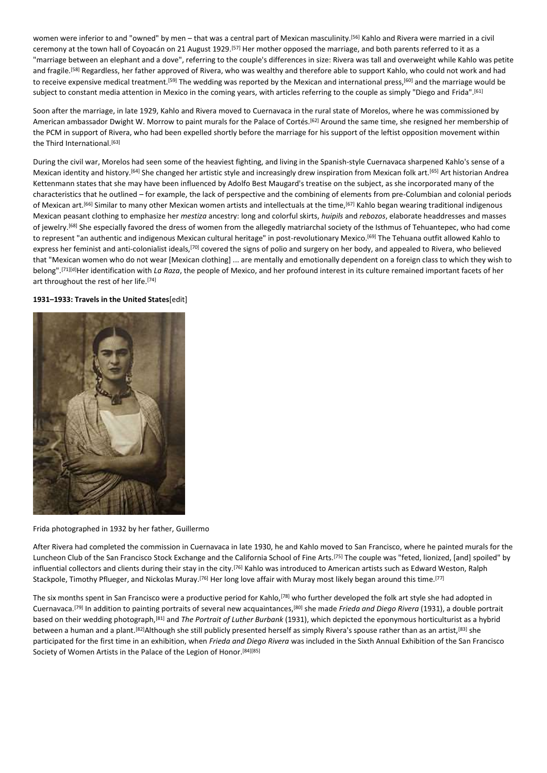women were inferior to and "owned" by men – that was a central part of Mexican masculinity.<sup>[56]</sup> Kahlo and Rivera were married in a civil ceremony at the town hall of Coyoacán on 21 August 1929.[57] Her mother opposed the marriage, and both parents referred to it as a "marriage between an elephant and a dove", referring to the couple's differences in size: Rivera was tall and overweight while Kahlo was petite and fragile.<sup>[58]</sup> Regardless, her father approved of Rivera, who was wealthy and therefore able to support Kahlo, who could not work and had to receive expensive medical treatment.<sup>[59]</sup> The wedding was reported by the Mexican and international press,<sup>[60]</sup> and the marriage would be subject to constant media attention in Mexico in the coming years, with articles referring to the couple as simply "Diego and Frida".<sup>[61]</sup>

Soon after the marriage, in late 1929, Kahlo and Rivera moved to Cuernavaca in the rural state of Morelos, where he was commissioned by American ambassador Dwight W. Morrow to paint murals for the Palace of Cortés.<sup>[62]</sup> Around the same time, she resigned her membership of the PCM in support of Rivera, who had been expelled shortly before the marriage for his support of the leftist opposition movement within the Third International.<sup>[63]</sup>

During the civil war, Morelos had seen some of the heaviest fighting, and living in the Spanish-style Cuernavaca sharpened Kahlo's sense of a Mexican identity and history.[64] She changed her artistic style and increasingly drew inspiration from Mexican folk art.[65] Art historian Andrea Kettenmann states that she may have been influenced by Adolfo Best Maugard's treatise on the subject, as she incorporated many of the characteristics that he outlined – for example, the lack of perspective and the combining of elements from pre-Columbian and colonial periods of Mexican art.<sup>[66]</sup> Similar to many other Mexican women artists and intellectuals at the time,<sup>[67]</sup> Kahlo began wearing traditional indigenous Mexican peasant clothing to emphasize her *mestiza* ancestry: long and colorful skirts, *huipils* and *rebozos*, elaborate headdresses and masses of jewelry.<sup>[68]</sup> She especially favored the dress of women from the allegedly matriarchal society of the Isthmus of Tehuantepec, who had come to represent "an authentic and indigenous Mexican cultural heritage" in post-revolutionary Mexico.<sup>[69]</sup> The Tehuana outfit allowed Kahlo to express her feminist and anti-colonialist ideals,<sup>[70]</sup> covered the signs of polio and surgery on her body, and appealed to Rivera, who believed that "Mexican women who do not wear [Mexican clothing] ... are mentally and emotionally dependent on a foreign class to which they wish to belong".[71][d]Her identification with *La Raza*, the people of Mexico, and her profound interest in its culture remained important facets of her art throughout the rest of her life.<sup>[74]</sup>

# **1931–1933: Travels in the United States**[edit]



Frida photographed in 1932 by her father, Guillermo

After Rivera had completed the commission in Cuernavaca in late 1930, he and Kahlo moved to San Francisco, where he painted murals for the Luncheon Club of the San Francisco Stock Exchange and the California School of Fine Arts.<sup>[75]</sup> The couple was "feted, lionized, [and] spoiled" by influential collectors and clients during their stay in the city.<sup>[76]</sup> Kahlo was introduced to American artists such as Edward Weston, Ralph Stackpole, Timothy Pflueger, and Nickolas Muray.<sup>[76]</sup> Her long love affair with Muray most likely began around this time.<sup>[77]</sup>

The six months spent in San Francisco were a productive period for Kahlo,[78] who further developed the folk art style she had adopted in Cuernavaca.[79] In addition to painting portraits of several new acquaintances,[80] she made *Frieda and Diego Rivera* (1931), a double portrait based on their wedding photograph,[81] and *The Portrait of Luther Burbank* (1931), which depicted the eponymous horticulturist as a hybrid between a human and a plant.<sup>[82]</sup>Although she still publicly presented herself as simply Rivera's spouse rather than as an artist,<sup>[83]</sup> she participated for the first time in an exhibition, when *Frieda and Diego Rivera* was included in the Sixth Annual Exhibition of the San Francisco Society of Women Artists in the Palace of the Legion of Honor.<sup>[84][85]</sup>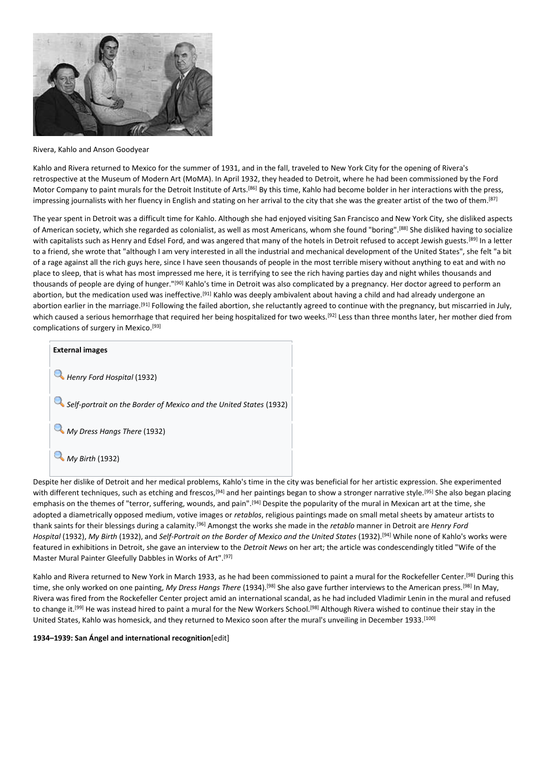

Rivera, Kahlo and Anson Goodyear

Kahlo and Rivera returned to Mexico for the summer of 1931, and in the fall, traveled to New York City for the opening of Rivera's retrospective at the Museum of Modern Art (MoMA). In April 1932, they headed to Detroit, where he had been commissioned by the Ford Motor Company to paint murals for the Detroit Institute of Arts.<sup>[86]</sup> By this time, Kahlo had become bolder in her interactions with the press, impressing journalists with her fluency in English and stating on her arrival to the city that she was the greater artist of the two of them.[87]

The year spent in Detroit was a difficult time for Kahlo. Although she had enjoyed visiting San Francisco and New York City, she disliked aspects of American society, which she regarded as colonialist, as well as most Americans, whom she found "boring".[88] She disliked having to socialize with capitalists such as Henry and Edsel Ford, and was angered that many of the hotels in Detroit refused to accept Jewish guests.<sup>[89]</sup> In a letter to a friend, she wrote that "although I am very interested in all the industrial and mechanical development of the United States", she felt "a bit of a rage against all the rich guys here, since I have seen thousands of people in the most terrible misery without anything to eat and with no place to sleep, that is what has most impressed me here, it is terrifying to see the rich having parties day and night whiles thousands and thousands of people are dying of hunger."[90] Kahlo's time in Detroit was also complicated by a pregnancy. Her doctor agreed to perform an abortion, but the medication used was ineffective.<sup>[91]</sup> Kahlo was deeply ambivalent about having a child and had already undergone an abortion earlier in the marriage.<sup>[91]</sup> Following the failed abortion, she reluctantly agreed to continue with the pregnancy, but miscarried in July, which caused a serious hemorrhage that required her being hospitalized for two weeks.<sup>[92]</sup> Less than three months later, her mother died from complications of surgery in Mexico.<sup>[93]</sup>



Despite her dislike of Detroit and her medical problems, Kahlo's time in the city was beneficial for her artistic expression. She experimented with different techniques, such as etching and frescos,<sup>[94]</sup> and her paintings began to show a stronger narrative style.<sup>[95]</sup> She also began placing emphasis on the themes of "terror, suffering, wounds, and pain".<sup>[94]</sup> Despite the popularity of the mural in Mexican art at the time, she adopted a diametrically opposed medium, votive images or *retablos*, religious paintings made on small metal sheets by amateur artists to thank saints for their blessings during a calamity.[96] Amongst the works she made in the *retablo* manner in Detroit are *Henry Ford Hospital* (1932), *My Birth* (1932), and *Self-Portrait on the Border of Mexico and the United States* (1932).[94] While none of Kahlo's works were featured in exhibitions in Detroit, she gave an interview to the *Detroit News* on her art; the article was condescendingly titled "Wife of the Master Mural Painter Gleefully Dabbles in Works of Art".[97]

Kahlo and Rivera returned to New York in March 1933, as he had been commissioned to paint a mural for the Rockefeller Center.<sup>[98]</sup> During this time, she only worked on one painting, *My Dress Hangs There* (1934).[98] She also gave further interviews to the American press.[98] In May, Rivera was fired from the Rockefeller Center project amid an international scandal, as he had included Vladimir Lenin in the mural and refused to change it.<sup>[99]</sup> He was instead hired to paint a mural for the New Workers School.<sup>[98]</sup> Although Rivera wished to continue their stay in the United States, Kahlo was homesick, and they returned to Mexico soon after the mural's unveiling in December 1933.[100]

# **1934–1939: San Ángel and international recognition**[edit]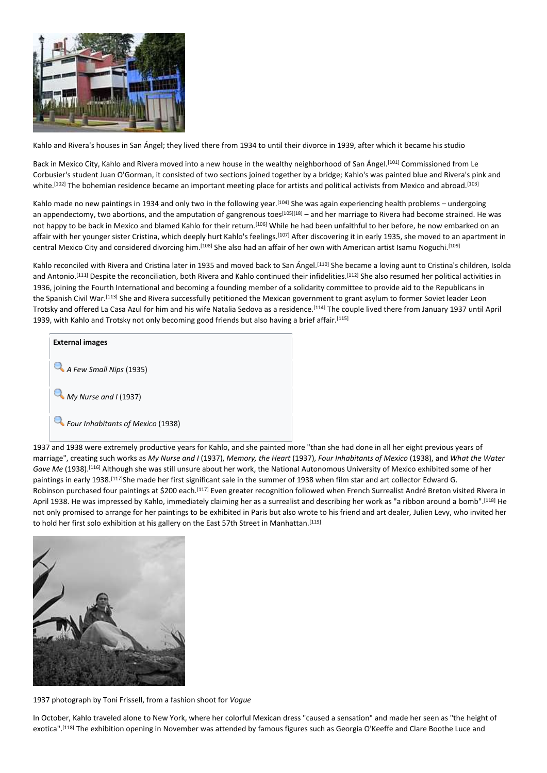

Kahlo and Rivera's houses in San Ángel; they lived there from 1934 to until their divorce in 1939, after which it became his studio

Back in Mexico City, Kahlo and Rivera moved into a new house in the wealthy neighborhood of San Ángel.<sup>[101]</sup> Commissioned from Le Corbusier's student Juan O'Gorman, it consisted of two sections joined together by a bridge; Kahlo's was painted blue and Rivera's pink and white.<sup>[102]</sup> The bohemian residence became an important meeting place for artists and political activists from Mexico and abroad.<sup>[103]</sup>

Kahlo made no new paintings in 1934 and only two in the following year.[104] She was again experiencing health problems – undergoing an appendectomy, two abortions, and the amputation of gangrenous toes<sup>[105][18]</sup> – and her marriage to Rivera had become strained. He was not happy to be back in Mexico and blamed Kahlo for their return.<sup>[106]</sup> While he had been unfaithful to her before, he now embarked on an affair with her younger sister Cristina, which deeply hurt Kahlo's feelings.<sup>[107]</sup> After discovering it in early 1935, she moved to an apartment in central Mexico City and considered divorcing him.[108] She also had an affair of her own with American artist Isamu Noguchi. [109]

Kahlo reconciled with Rivera and Cristina later in 1935 and moved back to San Ángel.<sup>[110]</sup> She became a loving aunt to Cristina's children, Isolda and Antonio.<sup>[111]</sup> Despite the reconciliation, both Rivera and Kahlo continued their infidelities.<sup>[112]</sup> She also resumed her political activities in 1936, joining the Fourth International and becoming a founding member of a solidarity committee to provide aid to the Republicans in the Spanish Civil War.<sup>[113]</sup> She and Rivera successfully petitioned the Mexican government to grant asylum to former Soviet leader Leon Trotsky and offered La Casa Azul for him and his wife Natalia Sedova as a residence.[114] The couple lived there from January 1937 until April 1939, with Kahlo and Trotsky not only becoming good friends but also having a brief affair.<sup>[115]</sup>



1937 and 1938 were extremely productive years for Kahlo, and she painted more "than she had done in all her eight previous years of marriage", creating such works as *My Nurse and I* (1937), *Memory, the Heart* (1937), *Four Inhabitants of Mexico* (1938), and *What the Water Gave Me* (1938).[116] Although she was still unsure about her work, the National Autonomous University of Mexico exhibited some of her paintings in early 1938.[117]She made her first significant sale in the summer of 1938 when film star and art collector Edward G. Robinson purchased four paintings at \$200 each.[117] Even greater recognition followed when French Surrealist André Breton visited Rivera in April 1938. He was impressed by Kahlo, immediately claiming her as a surrealist and describing her work as "a ribbon around a bomb".[118] He not only promised to arrange for her paintings to be exhibited in Paris but also wrote to his friend and art dealer, Julien Levy, who invited her to hold her first solo exhibition at his gallery on the East 57th Street in Manhattan.[119]



1937 photograph by Toni Frissell, from a fashion shoot for *Vogue*

In October, Kahlo traveled alone to New York, where her colorful Mexican dress "caused a sensation" and made her seen as "the height of exotica".<sup>[118]</sup> The exhibition opening in November was attended by famous figures such as Georgia O'Keeffe and Clare Boothe Luce and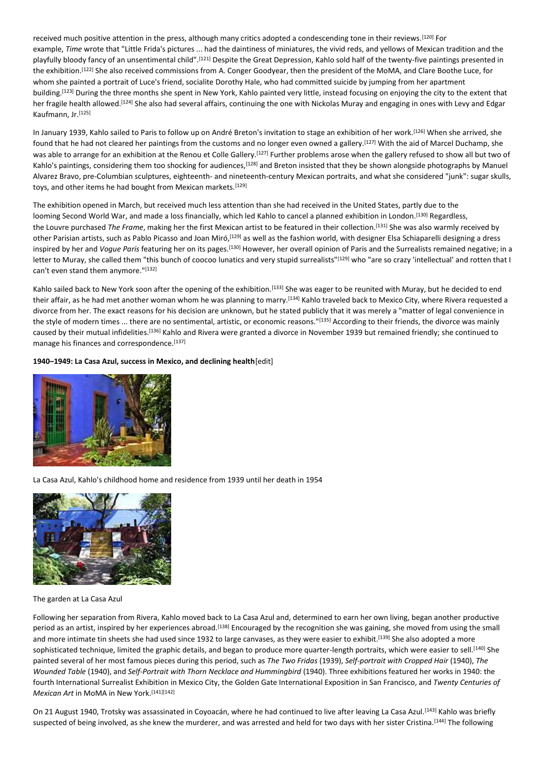received much positive attention in the press, although many critics adopted a condescending tone in their reviews.[120] For example, *Time* wrote that "Little Frida's pictures ... had the daintiness of miniatures, the vivid reds, and yellows of Mexican tradition and the playfully bloody fancy of an unsentimental child".[121] Despite the Great Depression, Kahlo sold half of the twenty-five paintings presented in the exhibition.[122] She also received commissions from A. Conger Goodyear, then the president of the MoMA, and Clare Boothe Luce, for whom she painted a portrait of Luce's friend, socialite Dorothy Hale, who had committed suicide by jumping from her apartment building.<sup>[123]</sup> During the three months she spent in New York, Kahlo painted very little, instead focusing on enjoying the city to the extent that her fragile health allowed.<sup>[124]</sup> She also had several affairs, continuing the one with Nickolas Muray and engaging in ones with Levy and Edgar Kaufmann, Jr.[125]

In January 1939, Kahlo sailed to Paris to follow up on André Breton's invitation to stage an exhibition of her work.[126] When she arrived, she found that he had not cleared her paintings from the customs and no longer even owned a gallery.[127] With the aid of Marcel Duchamp, she was able to arrange for an exhibition at the Renou et Colle Gallery.<sup>[127]</sup> Further problems arose when the gallery refused to show all but two of Kahlo's paintings, considering them too shocking for audiences,<sup>[128]</sup> and Breton insisted that they be shown alongside photographs by Manuel Alvarez Bravo, pre-Columbian sculptures, eighteenth- and nineteenth-century Mexican portraits, and what she considered "junk": sugar skulls, toys, and other items he had bought from Mexican markets.<sup>[129]</sup>

The exhibition opened in March, but received much less attention than she had received in the United States, partly due to the looming Second World War, and made a loss financially, which led Kahlo to cancel a planned exhibition in London.<sup>[130]</sup> Regardless, the Louvre purchased *The Frame*, making her the first Mexican artist to be featured in their collection.[131] She was also warmly received by other Parisian artists, such as Pablo Picasso and Joan Miró,<sup>[129]</sup> as well as the fashion world, with designer Elsa Schiaparelli designing a dress inspired by her and *Vogue Paris* featuring her on its pages.[130] However, her overall opinion of Paris and the Surrealists remained negative; in a letter to Muray, she called them "this bunch of coocoo lunatics and very stupid surrealists"<sup>[129]</sup> who "are so crazy 'intellectual' and rotten that I can't even stand them anymore."[132]

Kahlo sailed back to New York soon after the opening of the exhibition.<sup>[133]</sup> She was eager to be reunited with Muray, but he decided to end their affair, as he had met another woman whom he was planning to marry.<sup>[134]</sup> Kahlo traveled back to Mexico City, where Rivera requested a divorce from her. The exact reasons for his decision are unknown, but he stated publicly that it was merely a "matter of legal convenience in the style of modern times ... there are no sentimental, artistic, or economic reasons."[135] According to their friends, the divorce was mainly caused by their mutual infidelities.<sup>[136]</sup> Kahlo and Rivera were granted a divorce in November 1939 but remained friendly; she continued to manage his finances and correspondence.[137]

# **1940–1949: La Casa Azul, success in Mexico, and declining health**[edit]



# La Casa Azul, Kahlo's childhood home and residence from 1939 until her death in 1954



#### The garden at La Casa Azul

Following her separation from Rivera, Kahlo moved back to La Casa Azul and, determined to earn her own living, began another productive period as an artist, inspired by her experiences abroad.<sup>[138]</sup> Encouraged by the recognition she was gaining, she moved from using the small and more intimate tin sheets she had used since 1932 to large canvases, as they were easier to exhibit.<sup>[139]</sup> She also adopted a more sophisticated technique, limited the graphic details, and began to produce more quarter-length portraits, which were easier to sell.<sup>[140]</sup> She painted several of her most famous pieces during this period, such as *The Two Fridas* (1939), *Self-portrait with Cropped Hair* (1940), *The Wounded Table* (1940), and *Self-Portrait with Thorn Necklace and Hummingbird* (1940). Three exhibitions featured her works in 1940: the fourth International Surrealist Exhibition in Mexico City, the Golden Gate International Exposition in San Francisco, and *Twenty Centuries of Mexican Art* in MoMA in New York.<sup>[141][142]</sup>

On 21 August 1940, Trotsky was assassinated in Coyoacán, where he had continued to live after leaving La Casa Azul.<sup>[143]</sup> Kahlo was briefly suspected of being involved, as she knew the murderer, and was arrested and held for two days with her sister Cristina.<sup>[144]</sup> The following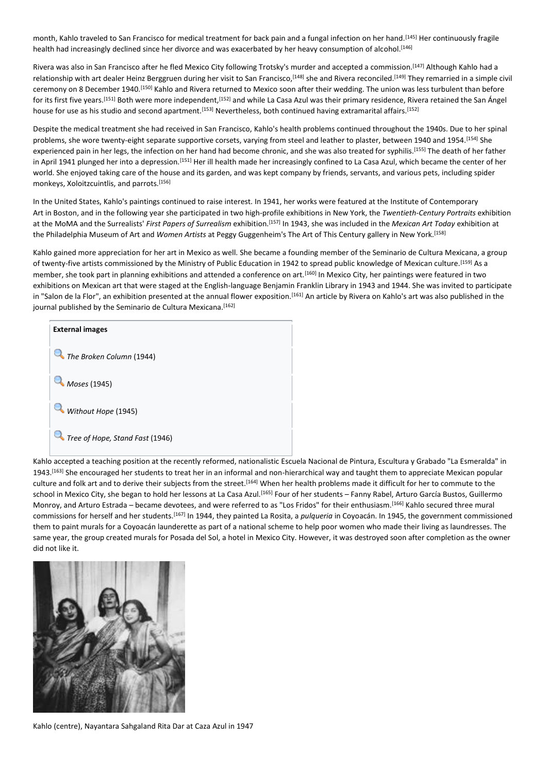month, Kahlo traveled to San Francisco for medical treatment for back pain and a fungal infection on her hand.<sup>[145]</sup> Her continuously fragile health had increasingly declined since her divorce and was exacerbated by her heavy consumption of alcohol.<sup>[146]</sup>

Rivera was also in San Francisco after he fled Mexico City following Trotsky's murder and accepted a commission.[147] Although Kahlo had a relationship with art dealer Heinz Berggruen during her visit to San Francisco,<sup>[148]</sup> she and Rivera reconciled.<sup>[149]</sup> They remarried in a simple civil ceremony on 8 December 1940.<sup>[150]</sup> Kahlo and Rivera returned to Mexico soon after their wedding. The union was less turbulent than before for its first five years.<sup>[151]</sup> Both were more independent.<sup>[152]</sup> and while La Casa Azul was their primary residence. Rivera retained the San Ángel house for use as his studio and second apartment.<sup>[153]</sup> Nevertheless, both continued having extramarital affairs.<sup>[152]</sup>

Despite the medical treatment she had received in San Francisco, Kahlo's health problems continued throughout the 1940s. Due to her spinal problems, she wore twenty-eight separate supportive corsets, varying from steel and leather to plaster, between 1940 and 1954.<sup>[154]</sup> She experienced pain in her legs, the infection on her hand had become chronic, and she was also treated for syphilis.<sup>[155]</sup> The death of her father in April 1941 plunged her into a depression.<sup>[151]</sup> Her ill health made her increasingly confined to La Casa Azul, which became the center of her world. She enjoyed taking care of the house and its garden, and was kept company by friends, servants, and various pets, including spider monkeys, Xoloitzcuintlis, and parrots.[156]

In the United States, Kahlo's paintings continued to raise interest. In 1941, her works were featured at the Institute of Contemporary Art in Boston, and in the following year she participated in two high-profile exhibitions in New York, the *Twentieth-Century Portraits* exhibition at the MoMA and the Surrealists' *First Papers of Surrealism* exhibition.[157] In 1943, she was included in the *Mexican Art Today* exhibition at the Philadelphia Museum of Art and *Women Artists* at Peggy Guggenheim's The Art of This Century gallery in New York.[158]

Kahlo gained more appreciation for her art in Mexico as well. She became a founding member of the Seminario de Cultura Mexicana, a group of twenty-five artists commissioned by the Ministry of Public Education in 1942 to spread public knowledge of Mexican culture.<sup>[159]</sup> As a member, she took part in planning exhibitions and attended a conference on art.[160] In Mexico City, her paintings were featured in two exhibitions on Mexican art that were staged at the English-language Benjamin Franklin Library in 1943 and 1944. She was invited to participate in "Salon de la Flor", an exhibition presented at the annual flower exposition.<sup>[161]</sup> An article by Rivera on Kahlo's art was also published in the journal published by the Seminario de Cultura Mexicana.<sup>[162]</sup>



Kahlo accepted a teaching position at the recently reformed, nationalistic Escuela Nacional de Pintura, Escultura y Grabado "La Esmeralda" in 1943. [163] She encouraged her students to treat her in an informal and non-hierarchical way and taught them to appreciate Mexican popular culture and folk art and to derive their subjects from the street.[164] When her health problems made it difficult for her to commute to the school in Mexico City, she began to hold her lessons at La Casa Azul.[165] Four of her students – Fanny Rabel, Arturo García Bustos, Guillermo Monroy, and Arturo Estrada – became devotees, and were referred to as "Los Fridos" for their enthusiasm.[166] Kahlo secured three mural commissions for herself and her students.[167] In 1944, they painted La Rosita, a *pulqueria* in Coyoacán. In 1945, the government commissioned them to paint murals for a Coyoacán launderette as part of a national scheme to help poor women who made their living as laundresses. The same year, the group created murals for Posada del Sol, a hotel in Mexico City. However, it was destroyed soon after completion as the owner did not like it.



Kahlo (centre), Nayantara Sahgaland Rita Dar at Caza Azul in 1947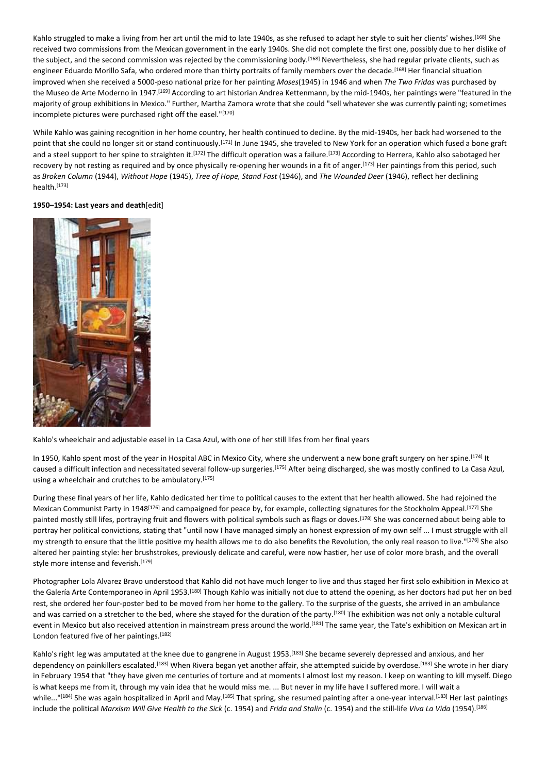Kahlo struggled to make a living from her art until the mid to late 1940s, as she refused to adapt her style to suit her clients' wishes.<sup>[168]</sup> She received two commissions from the Mexican government in the early 1940s. She did not complete the first one, possibly due to her dislike of the subject, and the second commission was rejected by the commissioning body.[168] Nevertheless, she had regular private clients, such as engineer Eduardo Morillo Safa, who ordered more than thirty portraits of family members over the decade.<sup>[168]</sup> Her financial situation improved when she received a 5000-peso national prize for her painting *Moses*(1945) in 1946 and when *The Two Fridas* was purchased by the Museo de Arte Moderno in 1947.[169] According to art historian Andrea Kettenmann, by the mid-1940s, her paintings were "featured in the majority of group exhibitions in Mexico." Further, Martha Zamora wrote that she could "sell whatever she was currently painting; sometimes incomplete pictures were purchased right off the easel."[170]

While Kahlo was gaining recognition in her home country, her health continued to decline. By the mid-1940s, her back had worsened to the point that she could no longer sit or stand continuously.[171] In June 1945, she traveled to New York for an operation which fused a bone graft and a steel support to her spine to straighten it.<sup>[172]</sup> The difficult operation was a failure.<sup>[173]</sup> According to Herrera, Kahlo also sabotaged her recovery by not resting as required and by once physically re-opening her wounds in a fit of anger.[173] Her paintings from this period, such as *Broken Column* (1944), *Without Hope* (1945), *Tree of Hope, Stand Fast* (1946), and *The Wounded Deer* (1946), reflect her declining health.[173]

## **1950–1954: Last years and death**[edit]



Kahlo's wheelchair and adjustable easel in La Casa Azul, with one of her still lifes from her final years

In 1950, Kahlo spent most of the year in Hospital ABC in Mexico City, where she underwent a new bone graft surgery on her spine.<sup>[174]</sup> It caused a difficult infection and necessitated several follow-up surgeries.[175] After being discharged, she was mostly confined to La Casa Azul, using a wheelchair and crutches to be ambulatory.<sup>[175]</sup>

During these final years of her life, Kahlo dedicated her time to political causes to the extent that her health allowed. She had rejoined the Mexican Communist Party in 1948<sup>[176]</sup> and campaigned for peace by, for example, collecting signatures for the Stockholm Appeal.<sup>[177]</sup> She painted mostly still lifes, portraying fruit and flowers with political symbols such as flags or doves.<sup>[178]</sup> She was concerned about being able to portray her political convictions, stating that "until now I have managed simply an honest expression of my own self ... I must struggle with all my strength to ensure that the little positive my health allows me to do also benefits the Revolution, the only real reason to live."[176] She also altered her painting style: her brushstrokes, previously delicate and careful, were now hastier, her use of color more brash, and the overall style more intense and feverish.[179]

Photographer Lola Alvarez Bravo understood that Kahlo did not have much longer to live and thus staged her first solo exhibition in Mexico at the Galería Arte Contemporaneo in April 1953.[180] Though Kahlo was initially not due to attend the opening, as her doctors had put her on bed rest, she ordered her four-poster bed to be moved from her home to the gallery. To the surprise of the guests, she arrived in an ambulance and was carried on a stretcher to the bed, where she stayed for the duration of the party.<sup>[180]</sup> The exhibition was not only a notable cultural event in Mexico but also received attention in mainstream press around the world.<sup>[181]</sup> The same year, the Tate's exhibition on Mexican art in London featured five of her paintings.<sup>[182]</sup>

Kahlo's right leg was amputated at the knee due to gangrene in August 1953.<sup>[183]</sup> She became severely depressed and anxious, and her dependency on painkillers escalated.<sup>[183]</sup> When Rivera began yet another affair, she attempted suicide by overdose.<sup>[183]</sup> She wrote in her diary in February 1954 that "they have given me centuries of torture and at moments I almost lost my reason. I keep on wanting to kill myself. Diego is what keeps me from it, through my vain idea that he would miss me. ... But never in my life have I suffered more. I will wait a while..."<sup>[184]</sup> She was again hospitalized in April and May.<sup>[185]</sup> That spring, she resumed painting after a one-year interval.<sup>[183]</sup> Her last paintings include the political *Marxism Will Give Health to the Sick* (c. 1954) and *Frida and Stalin* (c. 1954) and the still-life *Viva La Vida* (1954).[186]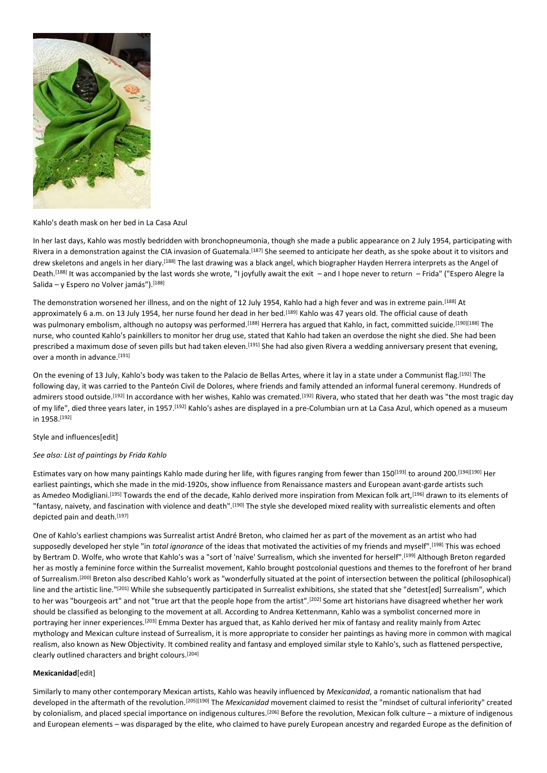

#### Kahlo's death mask on her bed in La Casa Azul

In her last days, Kahlo was mostly bedridden with bronchopneumonia, though she made a public appearance on 2 July 1954, participating with Rivera in a demonstration against the CIA invasion of Guatemala.<sup>[187]</sup> She seemed to anticipate her death, as she spoke about it to visitors and drew skeletons and angels in her diary.[188] The last drawing was a black angel, which biographer Hayden Herrera interprets as the Angel of Death.<sup>[188]</sup> It was accompanied by the last words she wrote, "I joyfully await the exit – and I hope never to return – Frida" ("Espero Alegre la Salida – y Espero no Volver jamás"). [188]

The demonstration worsened her illness, and on the night of 12 July 1954, Kahlo had a high fever and was in extreme pain.[188] At approximately 6 a.m. on 13 July 1954, her nurse found her dead in her bed.<sup>[189]</sup> Kahlo was 47 years old. The official cause of death was pulmonary embolism, although no autopsy was performed.<sup>[188]</sup> Herrera has argued that Kahlo, in fact, committed suicide.<sup>[190][188]</sup> The nurse, who counted Kahlo's painkillers to monitor her drug use, stated that Kahlo had taken an overdose the night she died. She had been prescribed a maximum dose of seven pills but had taken eleven.<sup>[191]</sup> She had also given Rivera a wedding anniversary present that evening, over a month in advance.[191]

On the evening of 13 July, Kahlo's body was taken to the Palacio de Bellas Artes, where it lay in a state under a Communist flag.<sup>[192]</sup> The following day, it was carried to the Panteón Civil de Dolores, where friends and family attended an informal funeral ceremony. Hundreds of admirers stood outside.<sup>[192]</sup> In accordance with her wishes, Kahlo was cremated.<sup>[192]</sup> Rivera, who stated that her death was "the most tragic day of my life", died three years later, in 1957.[192] Kahlo's ashes are displayed in a pre-Columbian urn at La Casa Azul, which opened as a museum in 1958.[192]

#### Style and influences[edit]

#### *See also: List of paintings by Frida Kahlo*

Estimates vary on how many paintings Kahlo made during her life, with figures ranging from fewer than 150<sup>[193]</sup> to around 200.<sup>[194][190]</sup> Her earliest paintings, which she made in the mid-1920s, show influence from Renaissance masters and European avant-garde artists such as Amedeo Modigliani.<sup>[195]</sup> Towards the end of the decade, Kahlo derived more inspiration from Mexican folk art,<sup>[196]</sup> drawn to its elements of "fantasy, naivety, and fascination with violence and death".<sup>[190]</sup> The style she developed mixed reality with surrealistic elements and often depicted pain and death.<sup>[197]</sup>

One of Kahlo's earliest champions was Surrealist artist André Breton, who claimed her as part of the movement as an artist who had supposedly developed her style "in *total ignorance* of the ideas that motivated the activities of my friends and myself".[198] This was echoed by Bertram D. Wolfe, who wrote that Kahlo's was a "sort of 'naïve' Surrealism, which she invented for herself".<sup>[199]</sup> Although Breton regarded her as mostly a feminine force within the Surrealist movement, Kahlo brought postcolonial questions and themes to the forefront of her brand of Surrealism.[200] Breton also described Kahlo's work as "wonderfully situated at the point of intersection between the political (philosophical) line and the artistic line."[201] While she subsequently participated in Surrealist exhibitions, she stated that she "detest[ed] Surrealism", which to her was "bourgeois art" and not "true art that the people hope from the artist".<sup>[202]</sup> Some art historians have disagreed whether her work should be classified as belonging to the movement at all. According to Andrea Kettenmann, Kahlo was a symbolist concerned more in portraying her inner experiences.<sup>[203]</sup> Emma Dexter has argued that, as Kahlo derived her mix of fantasy and reality mainly from Aztec mythology and Mexican culture instead of Surrealism, it is more appropriate to consider her paintings as having more in common with magical realism, also known as New Objectivity. It combined reality and fantasy and employed similar style to Kahlo's, such as flattened perspective, clearly outlined characters and bright colours.[204]

#### **Mexicanidad**[edit]

Similarly to many other contemporary Mexican artists, Kahlo was heavily influenced by *Mexicanidad*, a romantic nationalism that had developed in the aftermath of the revolution.[205][190] The *Mexicanidad* movement claimed to resist the "mindset of cultural inferiority" created by colonialism, and placed special importance on indigenous cultures.<sup>[206]</sup> Before the revolution, Mexican folk culture – a mixture of indigenous and European elements – was disparaged by the elite, who claimed to have purely European ancestry and regarded Europe as the definition of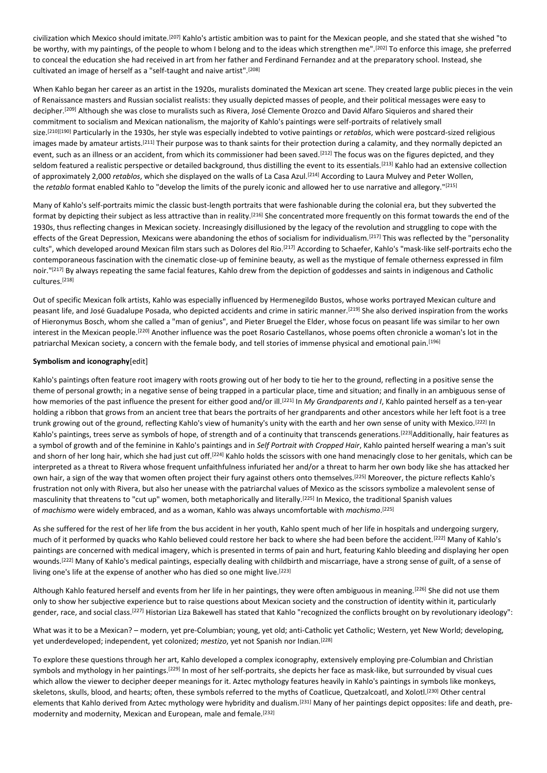civilization which Mexico should imitate.[207] Kahlo's artistic ambition was to paint for the Mexican people, and she stated that she wished "to be worthy, with my paintings, of the people to whom I belong and to the ideas which strengthen me".[202] To enforce this image, she preferred to conceal the education she had received in art from her father and Ferdinand Fernandez and at the preparatory school. Instead, she cultivated an image of herself as a "self-taught and naive artist".[208]

When Kahlo began her career as an artist in the 1920s, muralists dominated the Mexican art scene. They created large public pieces in the vein of Renaissance masters and Russian socialist realists: they usually depicted masses of people, and their political messages were easy to decipher.[209] Although she was close to muralists such as Rivera, José Clemente Orozco and David Alfaro Siquieros and shared their commitment to socialism and Mexican nationalism, the majority of Kahlo's paintings were self-portraits of relatively small size.[210][190] Particularly in the 1930s, her style was especially indebted to votive paintings or *retablos*, which were postcard-sized religious images made by amateur artists.<sup>[211]</sup> Their purpose was to thank saints for their protection during a calamity, and they normally depicted an event, such as an illness or an accident, from which its commissioner had been saved.<sup>[212]</sup> The focus was on the figures depicted, and they seldom featured a realistic perspective or detailed background, thus distilling the event to its essentials.<sup>[213]</sup> Kahlo had an extensive collection of approximately 2,000 *retablos*, which she displayed on the walls of La Casa Azul.[214] According to Laura Mulvey and Peter Wollen, the *retablo* format enabled Kahlo to "develop the limits of the purely iconic and allowed her to use narrative and allegory."[215]

Many of Kahlo's self-portraits mimic the classic bust-length portraits that were fashionable during the colonial era, but they subverted the format by depicting their subject as less attractive than in reality.<sup>[216]</sup> She concentrated more frequently on this format towards the end of the 1930s, thus reflecting changes in Mexican society. Increasingly disillusioned by the legacy of the revolution and struggling to cope with the effects of the Great Depression, Mexicans were abandoning the ethos of socialism for individualism.<sup>[217]</sup> This was reflected by the "personality cults", which developed around Mexican film stars such as Dolores del Rio.<sup>[217]</sup> According to Schaefer, Kahlo's "mask-like self-portraits echo the contemporaneous fascination with the cinematic close-up of feminine beauty, as well as the mystique of female otherness expressed in film noir."[217] By always repeating the same facial features, Kahlo drew from the depiction of goddesses and saints in indigenous and Catholic cultures.[218]

Out of specific Mexican folk artists, Kahlo was especially influenced by Hermenegildo Bustos, whose works portrayed Mexican culture and peasant life, and José Guadalupe Posada, who depicted accidents and crime in satiric manner.<sup>[219]</sup> She also derived inspiration from the works of Hieronymus Bosch, whom she called a "man of genius", and Pieter Bruegel the Elder, whose focus on peasant life was similar to her own interest in the Mexican people.<sup>[220]</sup> Another influence was the poet Rosario Castellanos, whose poems often chronicle a woman's lot in the patriarchal Mexican society, a concern with the female body, and tell stories of immense physical and emotional pain.[196]

## **Symbolism and iconography**[edit]

Kahlo's paintings often feature root imagery with roots growing out of her body to tie her to the ground, reflecting in a positive sense the theme of personal growth; in a negative sense of being trapped in a particular place, time and situation; and finally in an ambiguous sense of how memories of the past influence the present for either good and/or ill.<sup>[221]</sup> In *My Grandparents and I*, Kahlo painted herself as a ten-year holding a ribbon that grows from an ancient tree that bears the portraits of her grandparents and other ancestors while her left foot is a tree trunk growing out of the ground, reflecting Kahlo's view of humanity's unity with the earth and her own sense of unity with Mexico.[222] In Kahlo's paintings, trees serve as symbols of hope, of strength and of a continuity that transcends generations.<sup>[223]</sup>Additionally, hair features as a symbol of growth and of the feminine in Kahlo's paintings and in *Self Portrait with Cropped Hair*, Kahlo painted herself wearing a man's suit and shorn of her long hair, which she had just cut off.<sup>[224]</sup> Kahlo holds the scissors with one hand menacingly close to her genitals, which can be interpreted as a threat to Rivera whose frequent unfaithfulness infuriated her and/or a threat to harm her own body like she has attacked her own hair, a sign of the way that women often project their fury against others onto themselves.[225] Moreover, the picture reflects Kahlo's frustration not only with Rivera, but also her unease with the patriarchal values of Mexico as the scissors symbolize a malevolent sense of masculinity that threatens to "cut up" women, both metaphorically and literally.[225] In Mexico, the traditional Spanish values of *machismo* were widely embraced, and as a woman, Kahlo was always uncomfortable with *machismo*. [225]

As she suffered for the rest of her life from the bus accident in her youth, Kahlo spent much of her life in hospitals and undergoing surgery, much of it performed by quacks who Kahlo believed could restore her back to where she had been before the accident.[222] Many of Kahlo's paintings are concerned with medical imagery, which is presented in terms of pain and hurt, featuring Kahlo bleeding and displaying her open wounds.<sup>[222]</sup> Many of Kahlo's medical paintings, especially dealing with childbirth and miscarriage, have a strong sense of guilt, of a sense of living one's life at the expense of another who has died so one might live.<sup>[223]</sup>

Although Kahlo featured herself and events from her life in her paintings, they were often ambiguous in meaning.<sup>[226]</sup> She did not use them only to show her subjective experience but to raise questions about Mexican society and the construction of identity within it, particularly gender, race, and social class.<sup>[227]</sup> Historian Liza Bakewell has stated that Kahlo "recognized the conflicts brought on by revolutionary ideology":

What was it to be a Mexican? – modern, yet pre-Columbian; young, yet old; anti-Catholic yet Catholic; Western, yet New World; developing, yet underdeveloped; independent, yet colonized; *mestizo*, yet not Spanish nor Indian.[228]

To explore these questions through her art, Kahlo developed a complex iconography, extensively employing pre-Columbian and Christian symbols and mythology in her paintings.[229] In most of her self-portraits, she depicts her face as mask-like, but surrounded by visual cues which allow the viewer to decipher deeper meanings for it. Aztec mythology features heavily in Kahlo's paintings in symbols like monkeys, skeletons, skulls, blood, and hearts; often, these symbols referred to the myths of Coatlicue, Quetzalcoatl, and Xolotl.<sup>[230]</sup> Other central elements that Kahlo derived from Aztec mythology were hybridity and dualism.[231] Many of her paintings depict opposites: life and death, premodernity and modernity, Mexican and European, male and female.[232]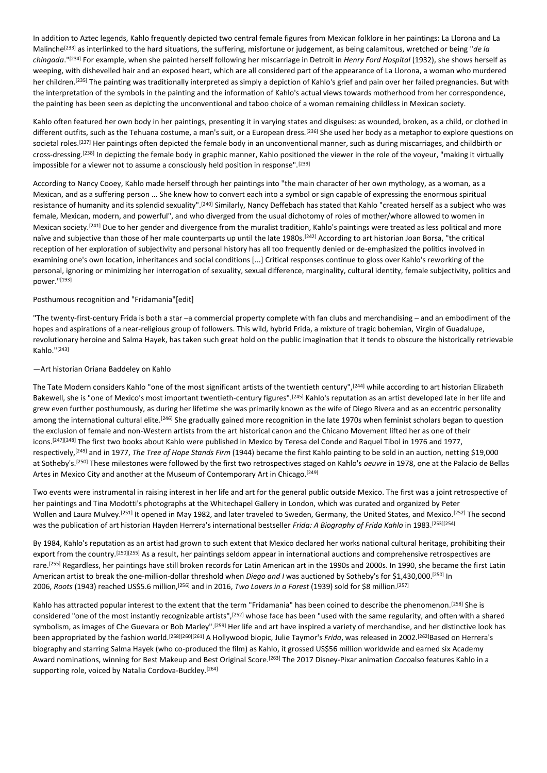In addition to Aztec legends, Kahlo frequently depicted two central female figures from Mexican folklore in her paintings: La Llorona and La Malinche<sup>[233]</sup> as interlinked to the hard situations, the suffering, misfortune or judgement, as being calamitous, wretched or being "*de la chingada*."[234] For example, when she painted herself following her miscarriage in Detroit in *Henry Ford Hospital* (1932), she shows herself as weeping, with dishevelled hair and an exposed heart, which are all considered part of the appearance of La Llorona, a woman who murdered her children.<sup>[235]</sup> The painting was traditionally interpreted as simply a depiction of Kahlo's grief and pain over her failed pregnancies. But with the interpretation of the symbols in the painting and the information of Kahlo's actual views towards motherhood from her correspondence, the painting has been seen as depicting the unconventional and taboo choice of a woman remaining childless in Mexican society.

Kahlo often featured her own body in her paintings, presenting it in varying states and disguises: as wounded, broken, as a child, or clothed in different outfits, such as the Tehuana costume, a man's suit, or a European dress.<sup>[236]</sup> She used her body as a metaphor to explore questions on societal roles.<sup>[237]</sup> Her paintings often depicted the female body in an unconventional manner, such as during miscarriages, and childbirth or cross-dressing.[238] In depicting the female body in graphic manner, Kahlo positioned the viewer in the role of the voyeur, "making it virtually impossible for a viewer not to assume a consciously held position in response".[239]

According to Nancy Cooey, Kahlo made herself through her paintings into "the main character of her own mythology, as a woman, as a Mexican, and as a suffering person ... She knew how to convert each into a symbol or sign capable of expressing the enormous spiritual resistance of humanity and its splendid sexuality".[240] Similarly, Nancy Deffebach has stated that Kahlo "created herself as a subject who was female, Mexican, modern, and powerful", and who diverged from the usual dichotomy of roles of mother/whore allowed to women in Mexican society.<sup>[241]</sup> Due to her gender and divergence from the muralist tradition, Kahlo's paintings were treated as less political and more naïve and subjective than those of her male counterparts up until the late 1980s.<sup>[242]</sup> According to art historian Joan Borsa, "the critical reception of her exploration of subjectivity and personal history has all too frequently denied or de-emphasized the politics involved in examining one's own location, inheritances and social conditions [...] Critical responses continue to gloss over Kahlo's reworking of the personal, ignoring or minimizing her interrogation of sexuality, sexual difference, marginality, cultural identity, female subjectivity, politics and power."[193]

# Posthumous recognition and "Fridamania"[edit]

"The twenty-first-century Frida is both a star –a commercial property complete with fan clubs and merchandising – and an embodiment of the hopes and aspirations of a near-religious group of followers. This wild, hybrid Frida, a mixture of tragic bohemian, Virgin of Guadalupe, revolutionary heroine and Salma Hayek, has taken such great hold on the public imagination that it tends to obscure the historically retrievable Kahlo."[243]

# —Art historian Oriana Baddeley on Kahlo

The Tate Modern considers Kahlo "one of the most significant artists of the twentieth century",<sup>[244]</sup> while according to art historian Elizabeth Bakewell, she is "one of Mexico's most important twentieth-century figures".[245] Kahlo's reputation as an artist developed late in her life and grew even further posthumously, as during her lifetime she was primarily known as the wife of Diego Rivera and as an eccentric personality among the international cultural elite.<sup>[246]</sup> She gradually gained more recognition in the late 1970s when feminist scholars began to question the exclusion of female and non-Western artists from the art historical canon and the Chicano Movement lifted her as one of their icons.[247][248] The first two books about Kahlo were published in Mexico by Teresa del Conde and Raquel Tibol in 1976 and 1977, respectively,[249] and in 1977, *The Tree of Hope Stands Firm* (1944) became the first Kahlo painting to be sold in an auction, netting \$19,000 at Sotheby's. [250] These milestones were followed by the first two retrospectives staged on Kahlo's *oeuvre* in 1978, one at the Palacio de Bellas Artes in Mexico City and another at the Museum of Contemporary Art in Chicago.<sup>[249]</sup>

Two events were instrumental in raising interest in her life and art for the general public outside Mexico. The first was a joint retrospective of her paintings and Tina Modotti's photographs at the Whitechapel Gallery in London, which was curated and organized by Peter Wollen and Laura Mulvey.<sup>[251]</sup> It opened in May 1982, and later traveled to Sweden, Germany, the United States, and Mexico.<sup>[252]</sup> The second was the publication of art historian Hayden Herrera's international bestseller *Frida: A Biography of Frida Kahlo* in 1983.[253][254]

By 1984, Kahlo's reputation as an artist had grown to such extent that Mexico declared her works national cultural heritage, prohibiting their export from the country.<sup>[250]</sup>[255] As a result, her paintings seldom appear in international auctions and comprehensive retrospectives are rare.<sup>[255]</sup> Regardless, her paintings have still broken records for Latin American art in the 1990s and 2000s. In 1990, she became the first Latin American artist to break the one-million-dollar threshold when *Diego and I* was auctioned by Sotheby's for \$1,430,000.[250] In 2006, *Roots* (1943) reached US\$5.6 million,[256] and in 2016, *Two Lovers in a Forest* (1939) sold for \$8 million.[257]

Kahlo has attracted popular interest to the extent that the term "Fridamania" has been coined to describe the phenomenon.[258] She is considered "one of the most instantly recognizable artists",<sup>[252]</sup> whose face has been "used with the same regularity, and often with a shared symbolism, as images of Che Guevara or Bob Marley".<sup>[259]</sup> Her life and art have inspired a variety of merchandise, and her distinctive look has been appropriated by the fashion world.<sup>[258][260][261]</sup> A Hollywood biopic, Julie Taymor's *Frida*, was released in 2002.<sup>[262]</sup>Based on Herrera's biography and starring Salma Hayek (who co-produced the film) as Kahlo, it grossed US\$56 million worldwide and earned six Academy Award nominations, winning for Best Makeup and Best Original Score. [263] The 2017 Disney-Pixar animation *Coco*also features Kahlo in a supporting role, voiced by Natalia Cordova-Buckley.<sup>[264]</sup>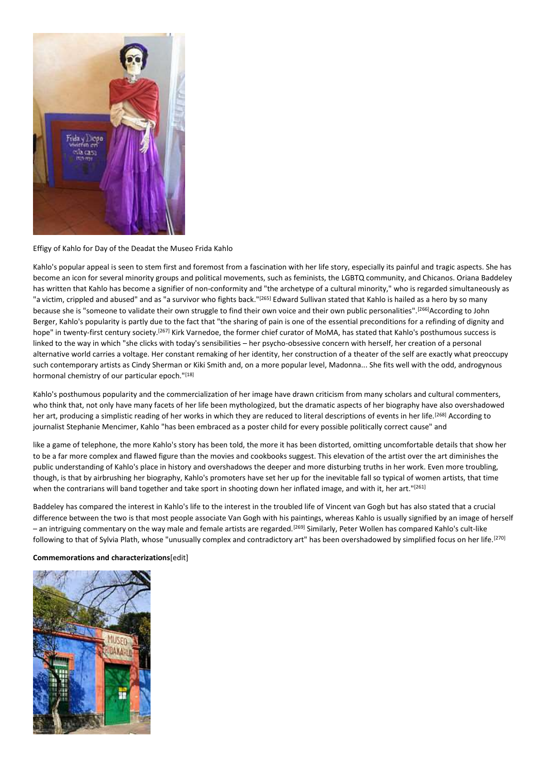

Effigy of Kahlo for Day of the Deadat the Museo Frida Kahlo

Kahlo's popular appeal is seen to stem first and foremost from a fascination with her life story, especially its painful and tragic aspects. She has become an icon for several minority groups and political movements, such as feminists, the LGBTQ community, and Chicanos. Oriana Baddeley has written that Kahlo has become a signifier of non-conformity and "the archetype of a cultural minority," who is regarded simultaneously as "a victim, crippled and abused" and as "a survivor who fights back."<sup>[265]</sup> Edward Sullivan stated that Kahlo is hailed as a hero by so many because she is "someone to validate their own struggle to find their own voice and their own public personalities".<sup>[266]</sup>According to John Berger, Kahlo's popularity is partly due to the fact that "the sharing of pain is one of the essential preconditions for a refinding of dignity and hope" in twenty-first century society.[267] Kirk Varnedoe, the former chief curator of MoMA, has stated that Kahlo's posthumous success is linked to the way in which "she clicks with today's sensibilities – her psycho-obsessive concern with herself, her creation of a personal alternative world carries a voltage. Her constant remaking of her identity, her construction of a theater of the self are exactly what preoccupy such contemporary artists as Cindy Sherman or Kiki Smith and, on a more popular level, Madonna... She fits well with the odd, androgynous hormonal chemistry of our particular epoch."[18]

Kahlo's posthumous popularity and the commercialization of her image have drawn criticism from many scholars and cultural commenters, who think that, not only have many facets of her life been mythologized, but the dramatic aspects of her biography have also overshadowed her art, producing a simplistic reading of her works in which they are reduced to literal descriptions of events in her life.<sup>[268]</sup> According to journalist Stephanie Mencimer, Kahlo "has been embraced as a poster child for every possible politically correct cause" and

like a game of telephone, the more Kahlo's story has been told, the more it has been distorted, omitting uncomfortable details that show her to be a far more complex and flawed figure than the movies and cookbooks suggest. This elevation of the artist over the art diminishes the public understanding of Kahlo's place in history and overshadows the deeper and more disturbing truths in her work. Even more troubling, though, is that by airbrushing her biography, Kahlo's promoters have set her up for the inevitable fall so typical of women artists, that time when the contrarians will band together and take sport in shooting down her inflated image, and with it, her art."[261]

Baddeley has compared the interest in Kahlo's life to the interest in the troubled life of Vincent van Gogh but has also stated that a crucial difference between the two is that most people associate Van Gogh with his paintings, whereas Kahlo is usually signified by an image of herself – an intriguing commentary on the way male and female artists are regarded.[269] Similarly, Peter Wollen has compared Kahlo's cult-like following to that of Sylvia Plath, whose "unusually complex and contradictory art" has been overshadowed by simplified focus on her life.[270]

**Commemorations and characterizations**[edit]

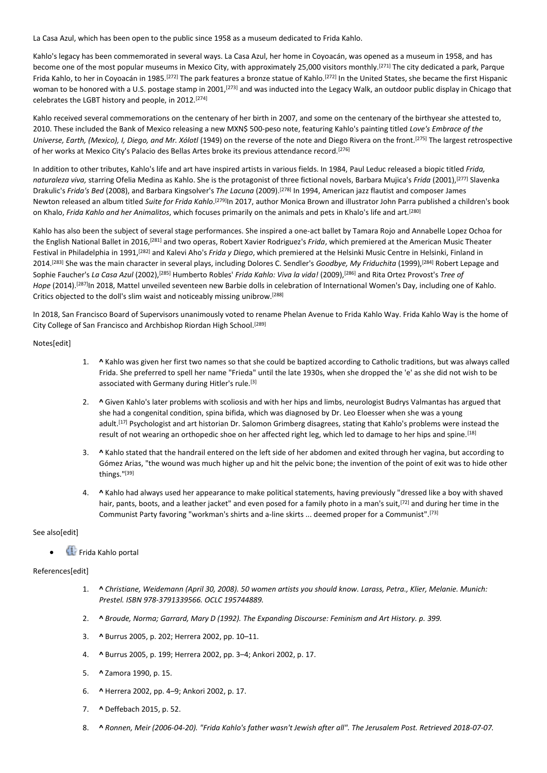La Casa Azul, which has been open to the public since 1958 as a museum dedicated to Frida Kahlo.

Kahlo's legacy has been commemorated in several ways. La Casa Azul, her home in Coyoacán, was opened as a museum in 1958, and has become one of the most popular museums in Mexico City, with approximately 25,000 visitors monthly.[271] The city dedicated a park, Parque Frida Kahlo, to her in Coyoacán in 1985.<sup>[272]</sup> The park features a bronze statue of Kahlo.<sup>[272]</sup> In the United States, she became the first Hispanic woman to be honored with a U.S. postage stamp in 2001,<sup>[273]</sup> and was inducted into the Legacy Walk, an outdoor public display in Chicago that celebrates the LGBT history and people, in 2012.[274]

Kahlo received several commemorations on the centenary of her birth in 2007, and some on the centenary of the birthyear she attested to, 2010. These included the Bank of Mexico releasing a new MXN\$ 500-peso note, featuring Kahlo's painting titled *Love's Embrace of the Universe, Earth, (Mexico), I, Diego, and Mr. Xólotl* (1949) on the reverse of the note and Diego Rivera on the front.[275] The largest retrospective of her works at Mexico City's Palacio des Bellas Artes broke its previous attendance record.[276]

In addition to other tributes, Kahlo's life and art have inspired artists in various fields. In 1984, Paul Leduc released a biopic titled *Frida, naturaleza viva,* starring Ofelia Medina as Kahlo. She is the protagonist of three fictional novels, Barbara Mujica's *Frida* (2001),[277] Slavenka Drakulic's *Frida's Bed* (2008), and Barbara Kingsolver's *The Lacuna* (2009).[278] In 1994, American jazz flautist and composer James Newton released an album titled Suite for Frida Kahlo.<sup>[279]</sup>In 2017, author Monica Brown and illustrator John Parra published a children's book on Khalo, *Frida Kahlo and her Animalitos*, which focuses primarily on the animals and pets in Khalo's life and art.[280]

Kahlo has also been the subject of several stage performances. She inspired a one-act ballet by Tamara Rojo and Annabelle Lopez Ochoa for the English National Ballet in 2016,[281] and two operas, Robert Xavier Rodriguez's *Frida*, which premiered at the American Music Theater Festival in Philadelphia in 1991,[282] and Kalevi Aho's *Frida y Diego*, which premiered at the Helsinki Music Centre in Helsinki, Finland in 2014.[283] She was the main character in several plays, including Dolores C. Sendler's *Goodbye, My Friduchita* (1999),[284] Robert Lepage and Sophie Faucher's *La Casa Azul* (2002),[285] Humberto Robles' *Frida Kahlo: Viva la vida!* (2009),[286] and Rita Ortez Provost's *Tree of Hope* (2014).[287]In 2018, Mattel unveiled seventeen new Barbie dolls in celebration of International Women's Day, including one of Kahlo. Critics objected to the doll's slim waist and noticeably missing unibrow. [288]

In 2018, San Francisco Board of Supervisors unanimously voted to rename Phelan Avenue to Frida Kahlo Way. Frida Kahlo Way is the home of City College of San Francisco and Archbishop Riordan High School.<sup>[289]</sup>

Notes[edit]

- 1. **^** Kahlo was given her first two names so that she could be baptized according to Catholic traditions, but was always called Frida. She preferred to spell her name "Frieda" until the late 1930s, when she dropped the 'e' as she did not wish to be associated with Germany during Hitler's rule.<sup>[3]</sup>
- 2. **^** Given Kahlo's later problems with scoliosis and with her hips and limbs, neurologist Budrys Valmantas has argued that she had a congenital condition, spina bifida, which was diagnosed by Dr. Leo Eloesser when she was a young adult.<sup>[17]</sup> Psychologist and art historian Dr. Salomon Grimberg disagrees, stating that Kahlo's problems were instead the result of not wearing an orthopedic shoe on her affected right leg, which led to damage to her hips and spine.[18]
- 3. **^** Kahlo stated that the handrail entered on the left side of her abdomen and exited through her vagina, but according to Gómez Arias, "the wound was much higher up and hit the pelvic bone; the invention of the point of exit was to hide other things."[39]
- 4. **^** Kahlo had always used her appearance to make political statements, having previously "dressed like a boy with shaved hair, pants, boots, and a leather jacket" and even posed for a family photo in a man's suit, [72] and during her time in the Communist Party favoring "workman's shirts and a-line skirts ... deemed proper for a Communist".[73]

See also[edit]

• Frida Kahlo portal

# References[edit]

- 1. **^** *Christiane, Weidemann (April 30, 2008). 50 women artists you should know. Larass, Petra., Klier, Melanie. Munich: Prestel. ISBN 978-3791339566. OCLC 195744889.*
- 2. **^** *Broude, Norma; Garrard, Mary D (1992). The Expanding Discourse: Feminism and Art History. p. 399.*
- 3. **^** Burrus 2005, p. 202; Herrera 2002, pp. 10–11.
- 4. **^** Burrus 2005, p. 199; Herrera 2002, pp. 3–4; Ankori 2002, p. 17.
- 5. **^** Zamora 1990, p. 15.
- 6. **^** Herrera 2002, pp. 4–9; Ankori 2002, p. 17.
- 7. **^** Deffebach 2015, p. 52.
- 8. **^** *Ronnen, Meir (2006-04-20). "Frida Kahlo's father wasn't Jewish after all". The Jerusalem Post. Retrieved 2018-07-07.*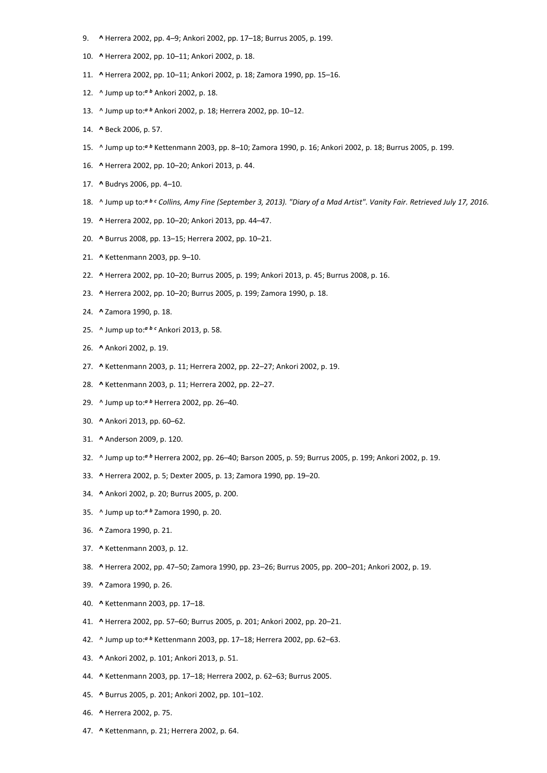- 9. **^** Herrera 2002, pp. 4–9; Ankori 2002, pp. 17–18; Burrus 2005, p. 199.
- 10. **^** Herrera 2002, pp. 10–11; Ankori 2002, p. 18.
- 11. **^** Herrera 2002, pp. 10–11; Ankori 2002, p. 18; Zamora 1990, pp. 15–16.
- 12. ^ Jump up to:*<sup>a</sup> <sup>b</sup>* Ankori 2002, p. 18.
- 13. ^ Jump up to:*<sup>a</sup> <sup>b</sup>* Ankori 2002, p. 18; Herrera 2002, pp. 10–12.
- 14. **^** Beck 2006, p. 57.
- 15. ^ Jump up to:*<sup>a</sup> <sup>b</sup>* Kettenmann 2003, pp. 8–10; Zamora 1990, p. 16; Ankori 2002, p. 18; Burrus 2005, p. 199.
- 16. **^** Herrera 2002, pp. 10–20; Ankori 2013, p. 44.
- 17. **^** Budrys 2006, pp. 4–10.
- 18. ^ Jump up to:*<sup>a</sup> <sup>b</sup> <sup>c</sup> Collins, Amy Fine (September 3, 2013). "Diary of a Mad Artist". Vanity Fair. Retrieved July 17, 2016.*
- 19. **^** Herrera 2002, pp. 10–20; Ankori 2013, pp. 44–47.
- 20. **^** Burrus 2008, pp. 13–15; Herrera 2002, pp. 10–21.
- 21. **^** Kettenmann 2003, pp. 9–10.
- 22. **^** Herrera 2002, pp. 10–20; Burrus 2005, p. 199; Ankori 2013, p. 45; Burrus 2008, p. 16.
- 23. **^** Herrera 2002, pp. 10–20; Burrus 2005, p. 199; Zamora 1990, p. 18.
- 24. **^** Zamora 1990, p. 18.
- 25. ^ Jump up to:*<sup>a</sup> <sup>b</sup> <sup>c</sup>* Ankori 2013, p. 58.
- 26. **^** Ankori 2002, p. 19.
- 27. **^** Kettenmann 2003, p. 11; Herrera 2002, pp. 22–27; Ankori 2002, p. 19.
- 28. **^** Kettenmann 2003, p. 11; Herrera 2002, pp. 22–27.
- 29. ^ Jump up to:*<sup>a</sup> <sup>b</sup>* Herrera 2002, pp. 26–40.
- 30. **^** Ankori 2013, pp. 60–62.
- 31. **^** Anderson 2009, p. 120.
- 32. ^ Jump up to:*<sup>a</sup> <sup>b</sup>* Herrera 2002, pp. 26–40; Barson 2005, p. 59; Burrus 2005, p. 199; Ankori 2002, p. 19.
- 33. **^** Herrera 2002, p. 5; Dexter 2005, p. 13; Zamora 1990, pp. 19–20.
- 34. **^** Ankori 2002, p. 20; Burrus 2005, p. 200.
- 35. ^ Jump up to:*<sup>a</sup> <sup>b</sup>* Zamora 1990, p. 20.
- 36. **^** Zamora 1990, p. 21.
- 37. **^** Kettenmann 2003, p. 12.
- 38. **^** Herrera 2002, pp. 47–50; Zamora 1990, pp. 23–26; Burrus 2005, pp. 200–201; Ankori 2002, p. 19.
- 39. **^** Zamora 1990, p. 26.
- 40. **^** Kettenmann 2003, pp. 17–18.
- 41. **^** Herrera 2002, pp. 57–60; Burrus 2005, p. 201; Ankori 2002, pp. 20–21.
- 42. ^ Jump up to:*<sup>a</sup> <sup>b</sup>* Kettenmann 2003, pp. 17–18; Herrera 2002, pp. 62–63.
- 43. **^** Ankori 2002, p. 101; Ankori 2013, p. 51.
- 44. **^** Kettenmann 2003, pp. 17–18; Herrera 2002, p. 62–63; Burrus 2005.
- 45. **^** Burrus 2005, p. 201; Ankori 2002, pp. 101–102.
- 46. **^** Herrera 2002, p. 75.
- 47. **^** Kettenmann, p. 21; Herrera 2002, p. 64.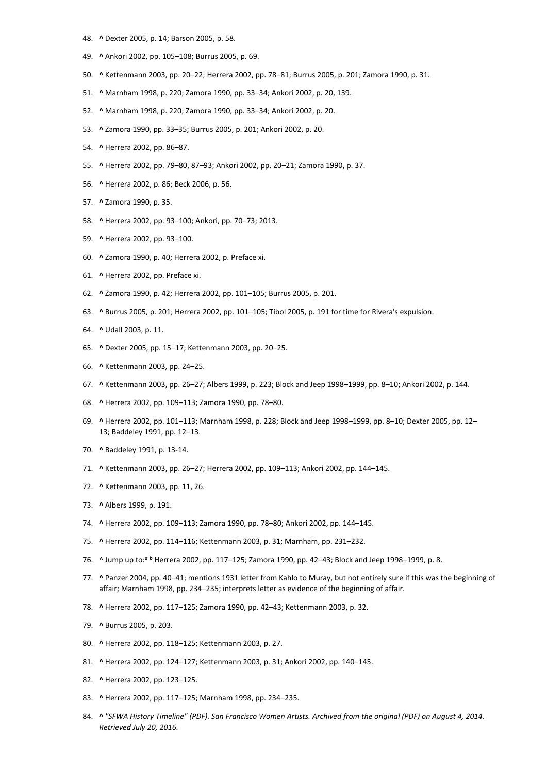- 48. **^** Dexter 2005, p. 14; Barson 2005, p. 58.
- 49. **^** Ankori 2002, pp. 105–108; Burrus 2005, p. 69.
- 50. **^** Kettenmann 2003, pp. 20–22; Herrera 2002, pp. 78–81; Burrus 2005, p. 201; Zamora 1990, p. 31.
- 51. **^** Marnham 1998, p. 220; Zamora 1990, pp. 33–34; Ankori 2002, p. 20, 139.
- 52. **^** Marnham 1998, p. 220; Zamora 1990, pp. 33–34; Ankori 2002, p. 20.
- 53. **^** Zamora 1990, pp. 33–35; Burrus 2005, p. 201; Ankori 2002, p. 20.
- 54. **^** Herrera 2002, pp. 86–87.
- 55. **^** Herrera 2002, pp. 79–80, 87–93; Ankori 2002, pp. 20–21; Zamora 1990, p. 37.
- 56. **^** Herrera 2002, p. 86; Beck 2006, p. 56.
- 57. **^** Zamora 1990, p. 35.
- 58. **^** Herrera 2002, pp. 93–100; Ankori, pp. 70–73; 2013.
- 59. **^** Herrera 2002, pp. 93–100.
- 60. **^** Zamora 1990, p. 40; Herrera 2002, p. Preface xi.
- 61. **^** Herrera 2002, pp. Preface xi.
- 62. **^** Zamora 1990, p. 42; Herrera 2002, pp. 101–105; Burrus 2005, p. 201.
- 63. **^** Burrus 2005, p. 201; Herrera 2002, pp. 101–105; Tibol 2005, p. 191 for time for Rivera's expulsion.
- 64. **^** Udall 2003, p. 11.
- 65. **^** Dexter 2005, pp. 15–17; Kettenmann 2003, pp. 20–25.
- 66. **^** Kettenmann 2003, pp. 24–25.
- 67. **^** Kettenmann 2003, pp. 26–27; Albers 1999, p. 223; Block and Jeep 1998–1999, pp. 8–10; Ankori 2002, p. 144.
- 68. **^** Herrera 2002, pp. 109–113; Zamora 1990, pp. 78–80.
- 69. **^** Herrera 2002, pp. 101–113; Marnham 1998, p. 228; Block and Jeep 1998–1999, pp. 8–10; Dexter 2005, pp. 12– 13; Baddeley 1991, pp. 12–13.
- 70. **^** Baddeley 1991, p. 13-14.
- 71. **^** Kettenmann 2003, pp. 26–27; Herrera 2002, pp. 109–113; Ankori 2002, pp. 144–145.
- 72. **^** Kettenmann 2003, pp. 11, 26.
- 73. **^** Albers 1999, p. 191.
- 74. **^** Herrera 2002, pp. 109–113; Zamora 1990, pp. 78–80; Ankori 2002, pp. 144–145.
- 75. **^** Herrera 2002, pp. 114–116; Kettenmann 2003, p. 31; Marnham, pp. 231–232.
- 76. ^ Jump up to:*<sup>a</sup> <sup>b</sup>* Herrera 2002, pp. 117–125; Zamora 1990, pp. 42–43; Block and Jeep 1998–1999, p. 8.
- 77. **^** Panzer 2004, pp. 40–41; mentions 1931 letter from Kahlo to Muray, but not entirely sure if this was the beginning of affair; Marnham 1998, pp. 234–235; interprets letter as evidence of the beginning of affair.
- 78. **^** Herrera 2002, pp. 117–125; Zamora 1990, pp. 42–43; Kettenmann 2003, p. 32.
- 79. **^** Burrus 2005, p. 203.
- 80. **^** Herrera 2002, pp. 118–125; Kettenmann 2003, p. 27.
- 81. **^** Herrera 2002, pp. 124–127; Kettenmann 2003, p. 31; Ankori 2002, pp. 140–145.
- 82. **^** Herrera 2002, pp. 123–125.
- 83. **^** Herrera 2002, pp. 117–125; Marnham 1998, pp. 234–235.
- 84. **^** *"SFWA History Timeline" (PDF). San Francisco Women Artists. Archived from the original (PDF) on August 4, 2014. Retrieved July 20, 2016.*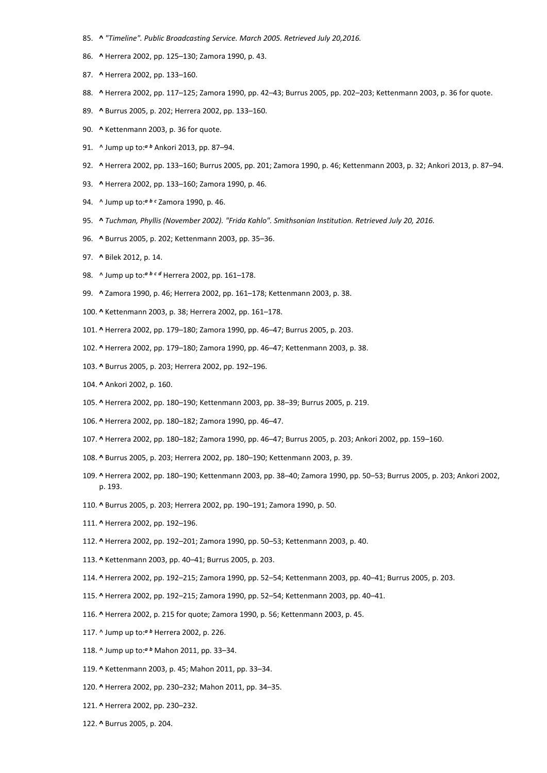- 85. **^** *"Timeline". Public Broadcasting Service. March 2005. Retrieved July 20,2016.*
- 86. **^** Herrera 2002, pp. 125–130; Zamora 1990, p. 43.
- 87. **^** Herrera 2002, pp. 133–160.
- 88. **^** Herrera 2002, pp. 117–125; Zamora 1990, pp. 42–43; Burrus 2005, pp. 202–203; Kettenmann 2003, p. 36 for quote.
- 89. **^** Burrus 2005, p. 202; Herrera 2002, pp. 133–160.
- 90. **^** Kettenmann 2003, p. 36 for quote.
- 91. ^ Jump up to:*<sup>a</sup> <sup>b</sup>* Ankori 2013, pp. 87–94.
- 92. **^** Herrera 2002, pp. 133–160; Burrus 2005, pp. 201; Zamora 1990, p. 46; Kettenmann 2003, p. 32; Ankori 2013, p. 87–94.
- 93. **^** Herrera 2002, pp. 133–160; Zamora 1990, p. 46.
- 94. ^ Jump up to:*<sup>a</sup> <sup>b</sup> <sup>c</sup>* Zamora 1990, p. 46.
- 95. **^** *Tuchman, Phyllis (November 2002). "Frida Kahlo". Smithsonian Institution. Retrieved July 20, 2016.*
- 96. **^** Burrus 2005, p. 202; Kettenmann 2003, pp. 35–36.
- 97. **^** Bilek 2012, p. 14.
- 98. ^ Jump up to:*<sup>a</sup> <sup>b</sup> <sup>c</sup> <sup>d</sup>* Herrera 2002, pp. 161–178.
- 99. **^** Zamora 1990, p. 46; Herrera 2002, pp. 161–178; Kettenmann 2003, p. 38.
- 100. **^** Kettenmann 2003, p. 38; Herrera 2002, pp. 161–178.
- 101. **^** Herrera 2002, pp. 179–180; Zamora 1990, pp. 46–47; Burrus 2005, p. 203.
- 102. **^** Herrera 2002, pp. 179–180; Zamora 1990, pp. 46–47; Kettenmann 2003, p. 38.
- 103. **^** Burrus 2005, p. 203; Herrera 2002, pp. 192–196.
- 104. **^** Ankori 2002, p. 160.
- 105. **^** Herrera 2002, pp. 180–190; Kettenmann 2003, pp. 38–39; Burrus 2005, p. 219.
- 106. **^** Herrera 2002, pp. 180–182; Zamora 1990, pp. 46–47.
- 107. **^** Herrera 2002, pp. 180–182; Zamora 1990, pp. 46–47; Burrus 2005, p. 203; Ankori 2002, pp. 159–160.
- 108. **^** Burrus 2005, p. 203; Herrera 2002, pp. 180–190; Kettenmann 2003, p. 39.
- 109. **^** Herrera 2002, pp. 180–190; Kettenmann 2003, pp. 38–40; Zamora 1990, pp. 50–53; Burrus 2005, p. 203; Ankori 2002, p. 193.
- 110. **^** Burrus 2005, p. 203; Herrera 2002, pp. 190–191; Zamora 1990, p. 50.
- 111. **^** Herrera 2002, pp. 192–196.
- 112. **^** Herrera 2002, pp. 192–201; Zamora 1990, pp. 50–53; Kettenmann 2003, p. 40.
- 113. **^** Kettenmann 2003, pp. 40–41; Burrus 2005, p. 203.
- 114. **^** Herrera 2002, pp. 192–215; Zamora 1990, pp. 52–54; Kettenmann 2003, pp. 40–41; Burrus 2005, p. 203.
- 115. **^** Herrera 2002, pp. 192–215; Zamora 1990, pp. 52–54; Kettenmann 2003, pp. 40–41.
- 116. **^** Herrera 2002, p. 215 for quote; Zamora 1990, p. 56; Kettenmann 2003, p. 45.
- 117. ^ Jump up to:*<sup>a</sup> <sup>b</sup>* Herrera 2002, p. 226.
- 118. ^ Jump up to:*<sup>a</sup> <sup>b</sup>* Mahon 2011, pp. 33–34.
- 119. **^** Kettenmann 2003, p. 45; Mahon 2011, pp. 33–34.
- 120. **^** Herrera 2002, pp. 230–232; Mahon 2011, pp. 34–35.
- 121. **^** Herrera 2002, pp. 230–232.
- 122. **^** Burrus 2005, p. 204.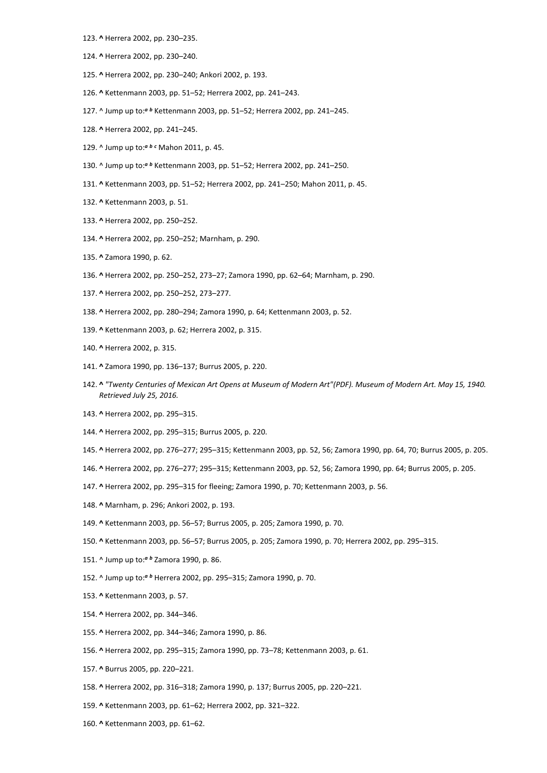- 123. **^** Herrera 2002, pp. 230–235.
- 124. **^** Herrera 2002, pp. 230–240.
- 125. **^** Herrera 2002, pp. 230–240; Ankori 2002, p. 193.
- 126. **^** Kettenmann 2003, pp. 51–52; Herrera 2002, pp. 241–243.
- 127. ^ Jump up to:*<sup>a</sup> <sup>b</sup>* Kettenmann 2003, pp. 51–52; Herrera 2002, pp. 241–245.
- 128. **^** Herrera 2002, pp. 241–245.
- 129. ^ Jump up to:*<sup>a</sup> <sup>b</sup> <sup>c</sup>* Mahon 2011, p. 45.
- 130. ^ Jump up to:*<sup>a</sup> <sup>b</sup>* Kettenmann 2003, pp. 51–52; Herrera 2002, pp. 241–250.
- 131. **^** Kettenmann 2003, pp. 51–52; Herrera 2002, pp. 241–250; Mahon 2011, p. 45.
- 132. **^** Kettenmann 2003, p. 51.
- 133. **^** Herrera 2002, pp. 250–252.
- 134. **^** Herrera 2002, pp. 250–252; Marnham, p. 290.
- 135. **^** Zamora 1990, p. 62.
- 136. **^** Herrera 2002, pp. 250–252, 273–27; Zamora 1990, pp. 62–64; Marnham, p. 290.
- 137. **^** Herrera 2002, pp. 250–252, 273–277.
- 138. **^** Herrera 2002, pp. 280–294; Zamora 1990, p. 64; Kettenmann 2003, p. 52.
- 139. **^** Kettenmann 2003, p. 62; Herrera 2002, p. 315.
- 140. **^** Herrera 2002, p. 315.
- 141. **^** Zamora 1990, pp. 136–137; Burrus 2005, p. 220.
- 142. **^** *"Twenty Centuries of Mexican Art Opens at Museum of Modern Art"(PDF). Museum of Modern Art. May 15, 1940. Retrieved July 25, 2016.*
- 143. **^** Herrera 2002, pp. 295–315.
- 144. **^** Herrera 2002, pp. 295–315; Burrus 2005, p. 220.
- 145. **^** Herrera 2002, pp. 276–277; 295–315; Kettenmann 2003, pp. 52, 56; Zamora 1990, pp. 64, 70; Burrus 2005, p. 205.
- 146. **^** Herrera 2002, pp. 276–277; 295–315; Kettenmann 2003, pp. 52, 56; Zamora 1990, pp. 64; Burrus 2005, p. 205.
- 147. **^** Herrera 2002, pp. 295–315 for fleeing; Zamora 1990, p. 70; Kettenmann 2003, p. 56.
- 148. **^** Marnham, p. 296; Ankori 2002, p. 193.
- 149. **^** Kettenmann 2003, pp. 56–57; Burrus 2005, p. 205; Zamora 1990, p. 70.
- 150. **^** Kettenmann 2003, pp. 56–57; Burrus 2005, p. 205; Zamora 1990, p. 70; Herrera 2002, pp. 295–315.
- 151. ^ Jump up to:*<sup>a</sup> <sup>b</sup>* Zamora 1990, p. 86.
- 152. ^ Jump up to:*<sup>a</sup> <sup>b</sup>* Herrera 2002, pp. 295–315; Zamora 1990, p. 70.
- 153. **^** Kettenmann 2003, p. 57.
- 154. **^** Herrera 2002, pp. 344–346.
- 155. **^** Herrera 2002, pp. 344–346; Zamora 1990, p. 86.
- 156. **^** Herrera 2002, pp. 295–315; Zamora 1990, pp. 73–78; Kettenmann 2003, p. 61.
- 157. **^** Burrus 2005, pp. 220–221.
- 158. **^** Herrera 2002, pp. 316–318; Zamora 1990, p. 137; Burrus 2005, pp. 220–221.
- 159. **^** Kettenmann 2003, pp. 61–62; Herrera 2002, pp. 321–322.
- 160. **^** Kettenmann 2003, pp. 61–62.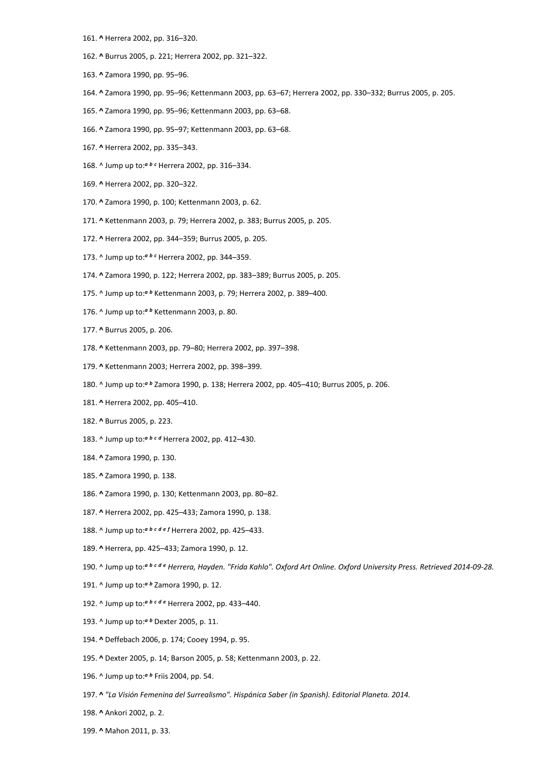- 161. **^** Herrera 2002, pp. 316–320.
- 162. **^** Burrus 2005, p. 221; Herrera 2002, pp. 321–322.
- 163. **^** Zamora 1990, pp. 95–96.
- 164. **^** Zamora 1990, pp. 95–96; Kettenmann 2003, pp. 63–67; Herrera 2002, pp. 330–332; Burrus 2005, p. 205.
- 165. **^** Zamora 1990, pp. 95–96; Kettenmann 2003, pp. 63–68.
- 166. **^** Zamora 1990, pp. 95–97; Kettenmann 2003, pp. 63–68.
- 167. **^** Herrera 2002, pp. 335–343.
- 168. ^ Jump up to:*<sup>a</sup> <sup>b</sup> <sup>c</sup>* Herrera 2002, pp. 316–334.
- 169. **^** Herrera 2002, pp. 320–322.
- 170. **^** Zamora 1990, p. 100; Kettenmann 2003, p. 62.
- 171. **^** Kettenmann 2003, p. 79; Herrera 2002, p. 383; Burrus 2005, p. 205.
- 172. **^** Herrera 2002, pp. 344–359; Burrus 2005, p. 205.
- 173. ^ Jump up to:*<sup>a</sup> <sup>b</sup> <sup>c</sup>* Herrera 2002, pp. 344–359.
- 174. **^** Zamora 1990, p. 122; Herrera 2002, pp. 383–389; Burrus 2005, p. 205.
- 175. ^ Jump up to:*<sup>a</sup> <sup>b</sup>* Kettenmann 2003, p. 79; Herrera 2002, p. 389–400.
- 176. ^ Jump up to:*<sup>a</sup> <sup>b</sup>* Kettenmann 2003, p. 80.
- 177. **^** Burrus 2005, p. 206.
- 178. **^** Kettenmann 2003, pp. 79–80; Herrera 2002, pp. 397–398.
- 179. **^** Kettenmann 2003; Herrera 2002, pp. 398–399.
- 180. ^ Jump up to:*<sup>a</sup> <sup>b</sup>* Zamora 1990, p. 138; Herrera 2002, pp. 405–410; Burrus 2005, p. 206.
- 181. **^** Herrera 2002, pp. 405–410.
- 182. **^** Burrus 2005, p. 223.
- 183. ^ Jump up to:*<sup>a</sup> <sup>b</sup> <sup>c</sup> <sup>d</sup>* Herrera 2002, pp. 412–430.
- 184. **^** Zamora 1990, p. 130.
- 185. **^** Zamora 1990, p. 138.
- 186. **^** Zamora 1990, p. 130; Kettenmann 2003, pp. 80–82.
- 187. **^** Herrera 2002, pp. 425–433; Zamora 1990, p. 138.
- 188. ^ Jump up to:*<sup>a</sup> <sup>b</sup> <sup>c</sup> <sup>d</sup> <sup>e</sup> <sup>f</sup>* Herrera 2002, pp. 425–433.
- 189. **^** Herrera, pp. 425–433; Zamora 1990, p. 12.
- 190. ^ Jump up to:*<sup>a</sup> <sup>b</sup> <sup>c</sup> <sup>d</sup> <sup>e</sup> Herrera, Hayden. "Frida Kahlo". Oxford Art Online. Oxford University Press. Retrieved 2014-09-28.*
- 191. ^ Jump up to:*<sup>a</sup> <sup>b</sup>* Zamora 1990, p. 12.
- 192. ^ Jump up to:*<sup>a</sup> <sup>b</sup> <sup>c</sup> <sup>d</sup> <sup>e</sup>* Herrera 2002, pp. 433–440.
- 193. ^ Jump up to:*<sup>a</sup> <sup>b</sup>* Dexter 2005, p. 11.
- 194. **^** Deffebach 2006, p. 174; Cooey 1994, p. 95.
- 195. **^** Dexter 2005, p. 14; Barson 2005, p. 58; Kettenmann 2003, p. 22.
- 196. ^ Jump up to:*<sup>a</sup> <sup>b</sup>* Friis 2004, pp. 54.
- 197. **^** *"La Visión Femenina del Surrealismo". Hispánica Saber (in Spanish). Editorial Planeta. 2014.*
- 198. **^** Ankori 2002, p. 2.
- 199. **^** Mahon 2011, p. 33.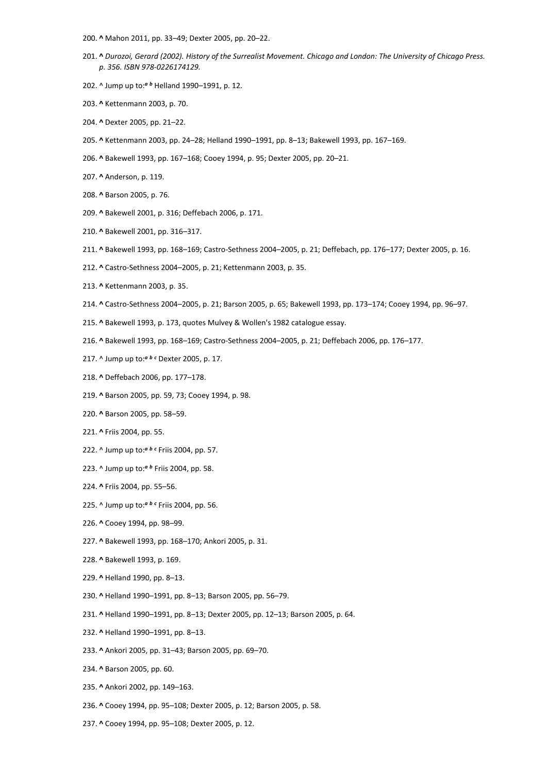- 200. **^** Mahon 2011, pp. 33–49; Dexter 2005, pp. 20–22.
- 201. **^** *Durozoi, Gerard (2002). History of the Surrealist Movement. Chicago and London: The University of Chicago Press. p. 356. ISBN 978-0226174129.*
- 202. ^ Jump up to:*<sup>a</sup> <sup>b</sup>* Helland 1990–1991, p. 12.
- 203. **^** Kettenmann 2003, p. 70.
- 204. **^** Dexter 2005, pp. 21–22.
- 205. **^** Kettenmann 2003, pp. 24–28; Helland 1990–1991, pp. 8–13; Bakewell 1993, pp. 167–169.
- 206. **^** Bakewell 1993, pp. 167–168; Cooey 1994, p. 95; Dexter 2005, pp. 20–21.
- 207. **^** Anderson, p. 119.
- 208. **^** Barson 2005, p. 76.
- 209. **^** Bakewell 2001, p. 316; Deffebach 2006, p. 171.
- 210. **^** Bakewell 2001, pp. 316–317.
- 211. **^** Bakewell 1993, pp. 168–169; Castro-Sethness 2004–2005, p. 21; Deffebach, pp. 176–177; Dexter 2005, p. 16.
- 212. **^** Castro-Sethness 2004–2005, p. 21; Kettenmann 2003, p. 35.
- 213. **^** Kettenmann 2003, p. 35.
- 214. **^** Castro-Sethness 2004–2005, p. 21; Barson 2005, p. 65; Bakewell 1993, pp. 173–174; Cooey 1994, pp. 96–97.
- 215. **^** Bakewell 1993, p. 173, quotes Mulvey & Wollen's 1982 catalogue essay.
- 216. **^** Bakewell 1993, pp. 168–169; Castro-Sethness 2004–2005, p. 21; Deffebach 2006, pp. 176–177.
- 217. ^ Jump up to:*<sup>a</sup> <sup>b</sup> <sup>c</sup>* Dexter 2005, p. 17.
- 218. **^** Deffebach 2006, pp. 177–178.
- 219. **^** Barson 2005, pp. 59, 73; Cooey 1994, p. 98.
- 220. **^** Barson 2005, pp. 58–59.
- 221. **^** Friis 2004, pp. 55.
- 222. ^ Jump up to:*<sup>a</sup> <sup>b</sup> <sup>c</sup>* Friis 2004, pp. 57.
- 223. ^ Jump up to:*<sup>a</sup> <sup>b</sup>* Friis 2004, pp. 58.
- 224. **^** Friis 2004, pp. 55–56.
- 225. ^ Jump up to:*<sup>a</sup> <sup>b</sup> <sup>c</sup>* Friis 2004, pp. 56.
- 226. **^** Cooey 1994, pp. 98–99.
- 227. **^** Bakewell 1993, pp. 168–170; Ankori 2005, p. 31.
- 228. **^** Bakewell 1993, p. 169.
- 229. **^** Helland 1990, pp. 8–13.
- 230. **^** Helland 1990–1991, pp. 8–13; Barson 2005, pp. 56–79.
- 231. **^** Helland 1990–1991, pp. 8–13; Dexter 2005, pp. 12–13; Barson 2005, p. 64.
- 232. **^** Helland 1990–1991, pp. 8–13.
- 233. **^** Ankori 2005, pp. 31–43; Barson 2005, pp. 69–70.
- 234. **^** Barson 2005, pp. 60.
- 235. **^** Ankori 2002, pp. 149–163.
- 236. **^** Cooey 1994, pp. 95–108; Dexter 2005, p. 12; Barson 2005, p. 58.
- 237. **^** Cooey 1994, pp. 95–108; Dexter 2005, p. 12.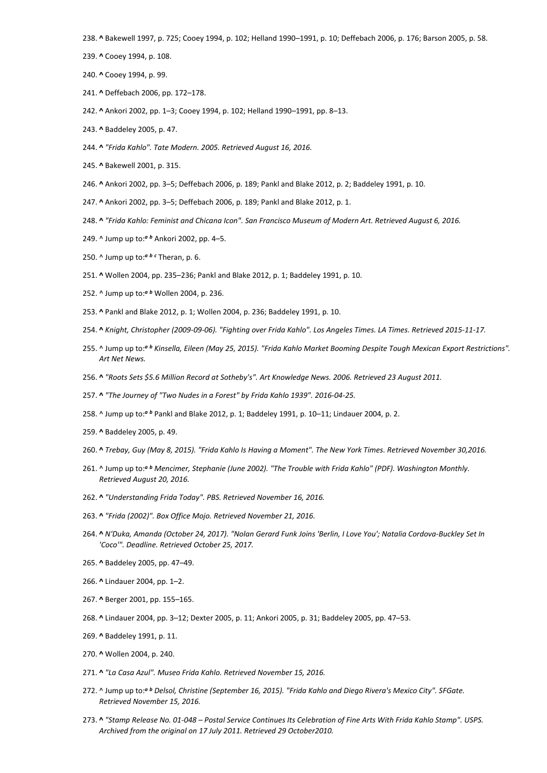238. **^** Bakewell 1997, p. 725; Cooey 1994, p. 102; Helland 1990–1991, p. 10; Deffebach 2006, p. 176; Barson 2005, p. 58.

- 239. **^** Cooey 1994, p. 108.
- 240. **^** Cooey 1994, p. 99.
- 241. **^** Deffebach 2006, pp. 172–178.
- 242. **^** Ankori 2002, pp. 1–3; Cooey 1994, p. 102; Helland 1990–1991, pp. 8–13.
- 243. **^** Baddeley 2005, p. 47.
- 244. **^** *"Frida Kahlo". Tate Modern. 2005. Retrieved August 16, 2016.*
- 245. **^** Bakewell 2001, p. 315.
- 246. **^** Ankori 2002, pp. 3–5; Deffebach 2006, p. 189; Pankl and Blake 2012, p. 2; Baddeley 1991, p. 10.
- 247. **^** Ankori 2002, pp. 3–5; Deffebach 2006, p. 189; Pankl and Blake 2012, p. 1.
- 248. **^** *"Frida Kahlo: Feminist and Chicana Icon". San Francisco Museum of Modern Art. Retrieved August 6, 2016.*
- 249. ^ Jump up to:*<sup>a</sup> <sup>b</sup>* Ankori 2002, pp. 4–5.
- 250. ^ Jump up to:*<sup>a</sup> <sup>b</sup> <sup>c</sup>* Theran, p. 6.
- 251. **^** Wollen 2004, pp. 235–236; Pankl and Blake 2012, p. 1; Baddeley 1991, p. 10.
- 252. ^ Jump up to:*<sup>a</sup> <sup>b</sup>* Wollen 2004, p. 236.
- 253. **^** Pankl and Blake 2012, p. 1; Wollen 2004, p. 236; Baddeley 1991, p. 10.
- 254. **^** *Knight, Christopher (2009-09-06). "Fighting over Frida Kahlo". Los Angeles Times. LA Times. Retrieved 2015-11-17.*
- 255. ^ Jump up to:*<sup>a</sup> <sup>b</sup> Kinsella, Eileen (May 25, 2015). "Frida Kahlo Market Booming Despite Tough Mexican Export Restrictions". Art Net News.*
- 256. **^** *"Roots Sets \$5.6 Million Record at Sotheby's". Art Knowledge News. 2006. Retrieved 23 August 2011.*
- 257. **^** *"The Journey of "Two Nudes in a Forest" by Frida Kahlo 1939". 2016-04-25.*
- 258. ^ Jump up to:*<sup>a</sup> <sup>b</sup>* Pankl and Blake 2012, p. 1; Baddeley 1991, p. 10–11; Lindauer 2004, p. 2.
- 259. **^** Baddeley 2005, p. 49.
- 260. **^** *Trebay, Guy (May 8, 2015). "Frida Kahlo Is Having a Moment". The New York Times. Retrieved November 30,2016.*
- 261. ^ Jump up to:*<sup>a</sup> <sup>b</sup> Mencimer, Stephanie (June 2002). "The Trouble with Frida Kahlo" (PDF). Washington Monthly. Retrieved August 20, 2016.*
- 262. **^** *"Understanding Frida Today". PBS. Retrieved November 16, 2016.*
- 263. **^** *"Frida (2002)". Box Office Mojo. Retrieved November 21, 2016.*
- 264. **^** *N'Duka, Amanda (October 24, 2017). "Nolan Gerard Funk Joins 'Berlin, I Love You'; Natalia Cordova-Buckley Set In 'Coco'". Deadline. Retrieved October 25, 2017.*
- 265. **^** Baddeley 2005, pp. 47–49.
- 266. **^** Lindauer 2004, pp. 1–2.
- 267. **^** Berger 2001, pp. 155–165.
- 268. **^** Lindauer 2004, pp. 3–12; Dexter 2005, p. 11; Ankori 2005, p. 31; Baddeley 2005, pp. 47–53.
- 269. **^** Baddeley 1991, p. 11.
- 270. **^** Wollen 2004, p. 240.
- 271. **^** *"La Casa Azul". Museo Frida Kahlo. Retrieved November 15, 2016.*
- 272. ^ Jump up to:*<sup>a</sup> <sup>b</sup> Delsol, Christine (September 16, 2015). "Frida Kahlo and Diego Rivera's Mexico City". SFGate. Retrieved November 15, 2016.*
- 273. **^** *"Stamp Release No. 01-048 – Postal Service Continues Its Celebration of Fine Arts With Frida Kahlo Stamp". USPS. Archived from the original on 17 July 2011. Retrieved 29 October2010.*